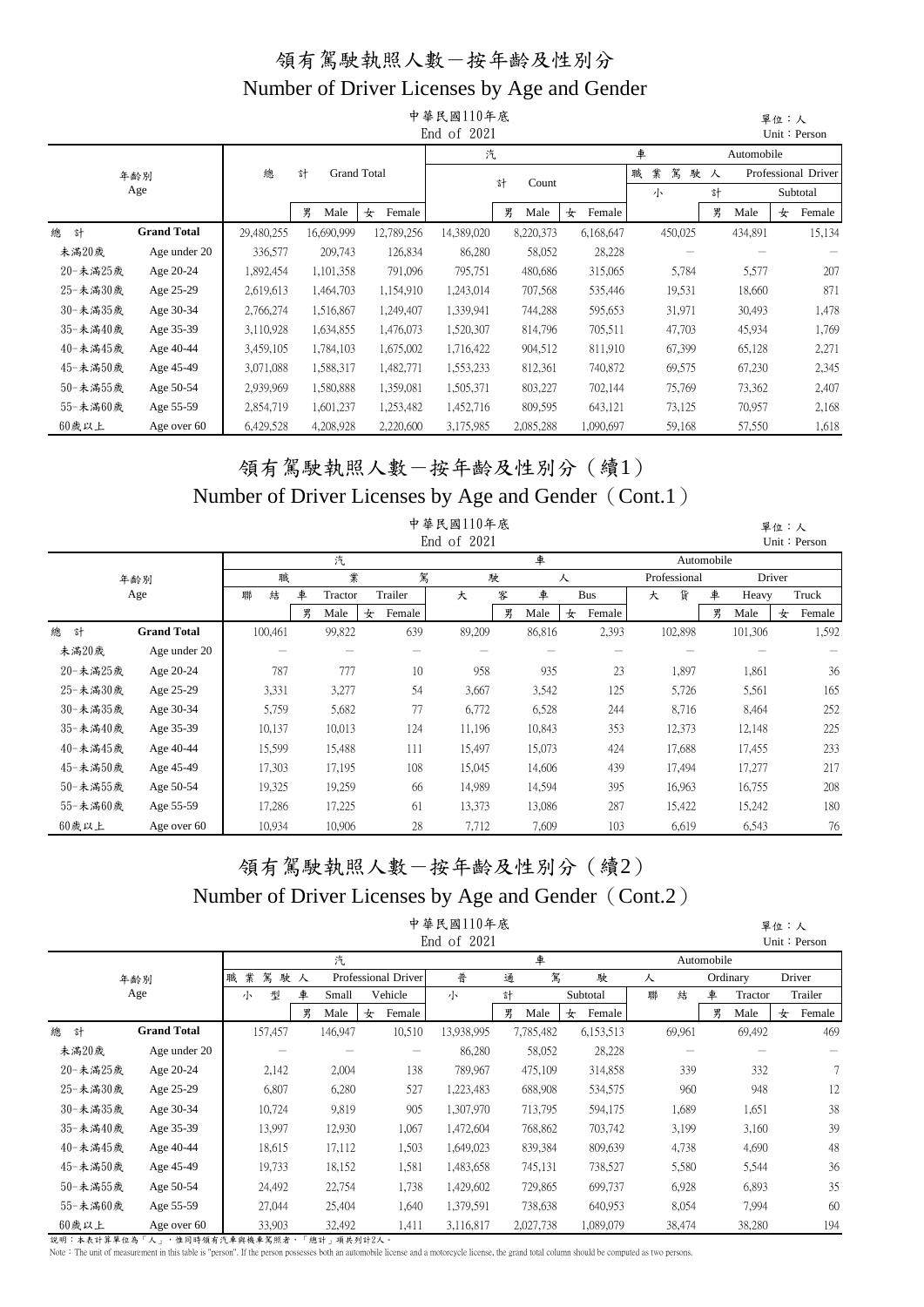|          |                                                                          |            |            |           |                    | 中華民國110年底<br>End of 2021 |            |             |             |    |            | 單位:人 | Unit: Person        |
|----------|--------------------------------------------------------------------------|------------|------------|-----------|--------------------|--------------------------|------------|-------------|-------------|----|------------|------|---------------------|
|          |                                                                          |            |            |           |                    | 汽                        |            |             | 車           |    | Automobile |      |                     |
|          | 年齢別                                                                      | 總          | 計          |           | <b>Grand Total</b> |                          | 計<br>Count |             | 業<br>駕<br>職 | 駛人 |            |      | Professional Driver |
|          | Age                                                                      |            |            |           |                    |                          |            |             | 小           | 計  |            |      | Subtotal            |
|          |                                                                          |            | 男          | Male      | 女<br>Female        |                          | 男<br>Male  | Female<br>女 |             | 男  | Male       | 女    | Female              |
| 總<br>計   | <b>Grand Total</b>                                                       | 29,480,255 | 16,690,999 |           | 12,789,256         | 14,389,020               | 8,220,373  | 6,168,647   | 450,025     |    | 434,891    |      | 15,134              |
| 未滿20歲    | Age under 20                                                             | 336,577    |            | 209,743   | 126,834            | 86,280                   | 58,052     | 28,228      |             |    |            |      |                     |
| 20-未滿25歲 | Age 20-24                                                                | 1,892,454  |            | 1,101,358 | 791,096            | 795,751                  | 480,686    | 315,065     | 5,784       |    | 5,577      |      | 207                 |
| 25-未滿30歲 | Age 25-29                                                                | 2,619,613  |            | 1,464,703 | 1,154,910          | 1,243,014                | 707,568    | 535,446     | 19,531      |    | 18,660     |      | 871                 |
| 30-未滿35歲 | Age 30-34                                                                | 2,766,274  | 1,516,867  |           | 1,249,407          | 1,339,941                | 744,288    | 595,653     | 31,971      |    | 30,493     |      | 1,478               |
| 35-未滿40歲 | Age 35-39                                                                | 3,110,928  |            | 1,634,855 | 1,476,073          | 1,520,307                | 814,796    | 705,511     | 47,703      |    | 45,934     |      | 1,769               |
| 40-未滿45歲 | Age 40-44                                                                | 3,459,105  |            | 1,784,103 | 1,675,002          | 1,716,422                | 904,512    | 811,910     | 67,399      |    | 65,128     |      | 2,271               |
| 45-未滿50歲 | Age 45-49                                                                | 3,071,088  |            | 1,588,317 | 1,482,771          | 1,553,233                | 812,361    | 740,872     | 69,575      |    | 67,230     |      | 2,345               |
| 50-未滿55歲 | Age 50-54                                                                | 2,939,969  |            | 1,580,888 | 1,359,081          | 1,505,371                | 803,227    | 702,144     | 75,769      |    | 73,362     |      | 2,407               |
| 55-未滿60歲 | 1,601,237<br>1,253,482<br>809,595<br>Age 55-59<br>2,854,719<br>1,452,716 |            |            |           |                    |                          |            |             |             |    | 70,957     |      | 2,168               |
| 60歲以上    | Age over 60                                                              | 6,429,528  |            | 4,208,928 | 2,220,600          | 3,175,985                | 2,085,288  | 1,090,697   | 59,168      |    | 57,550     |      | 1,618               |

#### 領有駕駛執照人數-按年齡及性別分(續1) Number of Driver Licenses by Age and Gender (Cont.1)

|          |                    |         |              |             | 中華民國110年底   |   |        |             |              |            |         | 單位:人   |              |
|----------|--------------------|---------|--------------|-------------|-------------|---|--------|-------------|--------------|------------|---------|--------|--------------|
|          |                    |         |              |             | End of 2021 |   |        |             |              |            |         |        | Unit: Person |
|          |                    |         | 汽            |             |             |   | 車      |             |              | Automobile |         |        |              |
|          | 年齢別                | 職       | 業            | 駕           |             | 駛 |        | 人           | Professional |            |         | Driver |              |
|          | Age                | 聯<br>結  | 車<br>Tractor | Trailer     | 大           | 客 | 車      | <b>Bus</b>  | 貨<br>大       | 車          | Heavy   |        | Truck        |
|          |                    |         | 男<br>Male    | Female<br>女 |             | 男 | Male   | Female<br>女 |              | 男          | Male    | 女      | Female       |
| 總<br>計   | <b>Grand Total</b> | 100,461 | 99,822       | 639         | 89,209      |   | 86,816 | 2,393       | 102,898      |            | 101,306 |        | 1,592        |
| 未滿20歲    | Age under 20       |         |              |             |             |   |        |             |              |            |         |        |              |
| 20-未滿25歲 | Age 20-24          | 787     | 777          | 10          | 958         |   | 935    | 23          | 1,897        |            | 1,861   |        | 36           |
| 25-未滿30歲 | Age 25-29          | 3,331   | 3,277        | 54          | 3,667       |   | 3,542  | 125         | 5,726        |            | 5,561   |        | 165          |
| 30-未滿35歲 | Age 30-34          | 5,759   | 5,682        | 77          | 6,772       |   | 6,528  | 244         | 8,716        |            | 8,464   |        | 252          |
| 35-未滿40歲 | Age 35-39          | 10,137  | 10,013       | 124         | 11,196      |   | 10,843 | 353         | 12,373       |            | 12,148  |        | 225          |
| 40-未滿45歲 | Age 40-44          | 15,599  | 15,488       | 111         | 15,497      |   | 15,073 | 424         | 17,688       |            | 17,455  |        | 233          |
| 45-未滿50歲 | Age 45-49          | 17,303  | 17,195       | 108         | 15,045      |   | 14,606 | 439         | 17,494       |            | 17,277  |        | 217          |
| 50-未滿55歲 | Age 50-54          | 19,325  | 19,259       | 66          | 14,989      |   | 14,594 | 395         | 16,963       |            | 16,755  |        | 208          |
| 55-未滿60歲 | Age 55-59          | 17,286  | 17,225       | 61          | 13,373      |   | 13,086 | 287         | 15,422       |            | 15,242  |        | 180          |
| 60歲以上    | Age over 60        | 10,934  | 10,906       | 28          | 7,712       |   | 7,609  | 103         | 6,619        |            | 6,543   |        | 76           |

# 領有駕駛執照人數-按年齡及性別分(續2)

#### Number of Driver Licenses by Age and Gender (Cont.2)

|          |                    |             |    |         |                          | 中華民國110年底<br>End of 2021 |   |           |   |           |   |        |            |          | 單位:人 | Unit: Person |
|----------|--------------------|-------------|----|---------|--------------------------|--------------------------|---|-----------|---|-----------|---|--------|------------|----------|------|--------------|
|          |                    |             |    | 汽       |                          |                          |   | 車         |   |           |   |        | Automobile |          |      |              |
|          | 年齢別                | 業<br>駕<br>職 | 駛人 |         | Professional Driver      | 普                        | 通 | 駕         |   | 駛         | 人 |        |            | Ordinary |      | Driver       |
|          | Age                | 型<br>小      | 車  | Small   | Vehicle                  | 小                        | 計 |           |   | Subtotal  | 聯 | 結      | 車          | Tractor  |      | Trailer      |
|          |                    |             | 男  | Male    | Female<br>女              |                          | 男 | Male      | 女 | Female    |   |        | 男          | Male     | 女    | Female       |
| 總<br>計   | <b>Grand Total</b> | 157,457     |    | 146,947 | 10,510                   | 13,938,995               |   | 7,785,482 |   | 6,153,513 |   | 69,961 |            | 69,492   |      | 469          |
| 未滿20歲    | Age under 20       |             |    |         | $\overline{\phantom{m}}$ | 86,280                   |   | 58,052    |   | 28,228    |   |        |            |          |      |              |
| 20-未滿25歲 | Age 20-24          | 2,142       |    | 2,004   | 138                      | 789,967                  |   | 475,109   |   | 314,858   |   | 339    |            | 332      |      | 7            |
| 25-未滿30歲 | Age 25-29          | 6,807       |    | 6,280   | 527                      | 1,223,483                |   | 688,908   |   | 534,575   |   | 960    |            | 948      |      | 12           |
| 30-未滿35歲 | Age 30-34          | 10,724      |    | 9,819   | 905                      | 1,307,970                |   | 713,795   |   | 594,175   |   | 1,689  |            | 1,651    |      | 38           |
| 35-未滿40歲 | Age 35-39          | 13,997      |    | 12,930  | 1,067                    | 1,472,604                |   | 768,862   |   | 703,742   |   | 3,199  |            | 3,160    |      | 39           |
| 40-未滿45歲 | Age 40-44          | 18,615      |    | 17,112  | 1,503                    | 1,649,023                |   | 839,384   |   | 809,639   |   | 4,738  |            | 4,690    |      | 48           |
| 45-未滿50歲 | Age 45-49          | 19,733      |    | 18,152  | 1,581                    | 1,483,658                |   | 745,131   |   | 738,527   |   | 5,580  |            | 5,544    |      | 36           |
| 50-未滿55歲 | Age 50-54          | 24,492      |    | 22,754  | 1,738                    | 1,429,602                |   | 729,865   |   | 699,737   |   | 6,928  |            | 6,893    |      | 35           |
| 55-未滿60歲 | Age 55-59          | 27,044      |    | 25,404  | 1,640                    | 1,379,591                |   | 738,638   |   | 640,953   |   | 8,054  |            | 7,994    |      | 60           |
| 60歲以上    | Age over 60        | 33,903      |    | 32,492  | 1,411                    | 3,116,817                |   | 2,027,738 |   | 1,089,079 |   | 38,474 |            | 38,280   |      | 194          |

說明:本表計算單位為「人」,惟同時領有汽車與機車駕照者,「總計」項共列計2人。<br>Note:The unit of measurement in this table is "person". If the person possesses both an automobile license and a motorcycle license, the grand total column should be computed as tw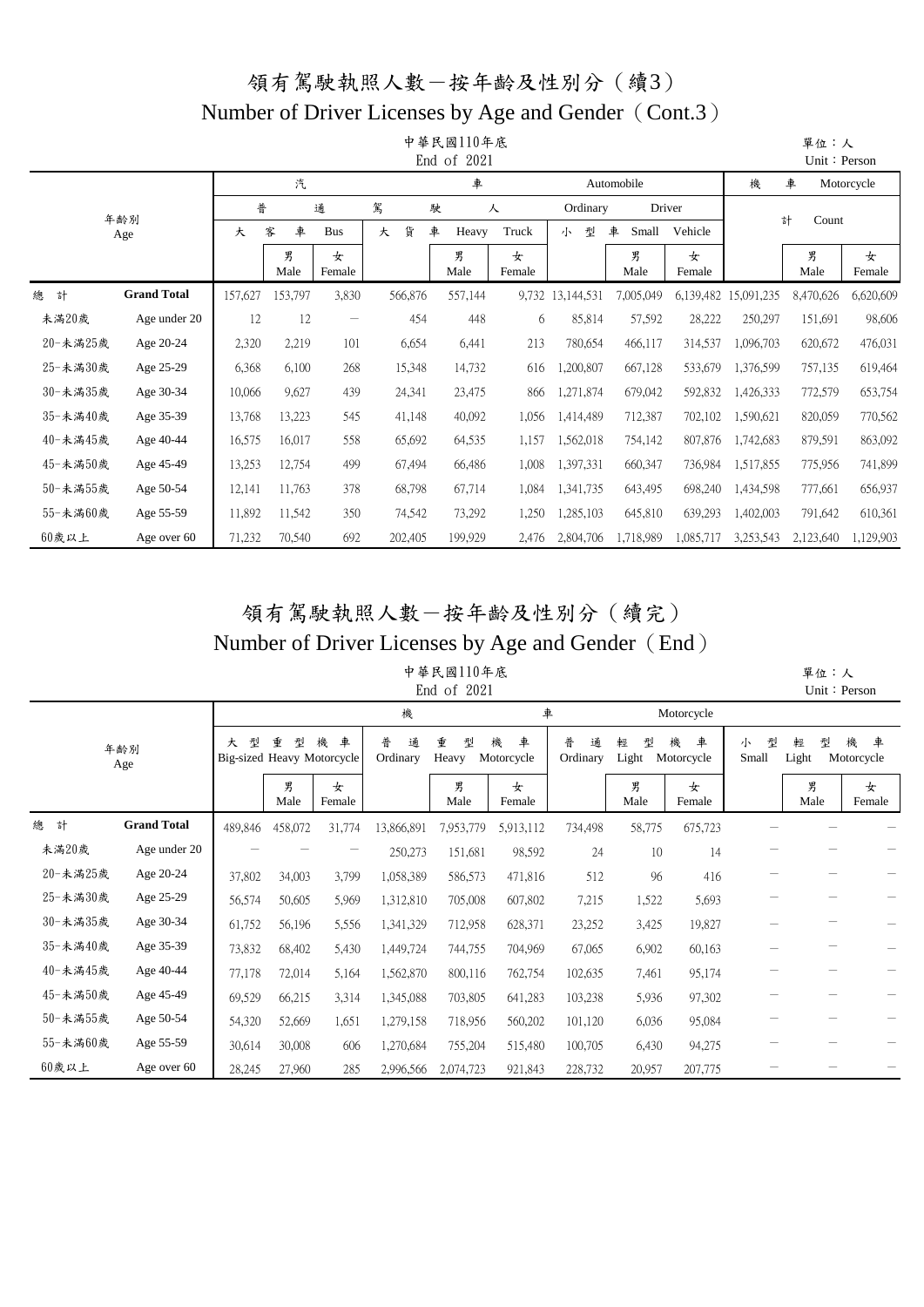## 領有駕駛執照人數-按年齡及性別分(續3) Number of Driver Licenses by Age and Gender (Cont.3)

|          |                    |         |           |             |         | 中華民國110年底<br>End of 2021 |             |                  |            |             |            | 單位:人<br>Unit: Person |             |
|----------|--------------------|---------|-----------|-------------|---------|--------------------------|-------------|------------------|------------|-------------|------------|----------------------|-------------|
|          |                    |         | 汽         |             |         | 車                        |             |                  | Automobile |             | 機          | 車                    | Motorcycle  |
|          | 年齢別                | 普       |           | 通           | 駕       | 駛                        | 人           | Ordinary         |            | Driver      |            | 計                    |             |
|          | Age                | 大       | 車<br>客    | <b>Bus</b>  | 貨<br>大  | 車<br>Heavy               | Truck       | 型<br>小           | 車<br>Small | Vehicle     |            | Count                |             |
|          |                    |         | 男<br>Male | 女<br>Female |         | 男<br>Male                | 女<br>Female |                  | 男<br>Male  | 女<br>Female |            | 男<br>Male            | 女<br>Female |
| 總<br>計   | <b>Grand Total</b> | 157,627 | 153,797   | 3,830       | 566,876 | 557,144                  |             | 9,732 13,144,531 | 7,005,049  | 6,139,482   | 15,091,235 | 8,470,626            | 6,620,609   |
| 未満20歲    | Age under 20       | 12      | 12        |             | 454     | 448                      | 6           | 85,814           | 57,592     | 28,222      | 250,297    | 151,691              | 98,606      |
| 20-未満25歲 | Age 20-24          | 2,320   | 2,219     | 101         | 6,654   | 6,441                    | 213         | 780,654          | 466,117    | 314,537     | 1,096,703  | 620,672              | 476,031     |
| 25-未満30歲 | Age 25-29          | 6,368   | 6,100     | 268         | 15,348  | 14,732                   | 616         | 1,200,807        | 667,128    | 533,679     | 1,376,599  | 757,135              | 619,464     |
| 30-未滿35歲 | Age 30-34          | 10,066  | 9,627     | 439         | 24,341  | 23,475                   | 866         | 1,271,874        | 679,042    | 592,832     | 1,426,333  | 772,579              | 653,754     |
| 35-未滿40歲 | Age 35-39          | 13,768  | 13,223    | 545         | 41,148  | 40,092                   | 1,056       | 1,414,489        | 712,387    | 702,102     | 1,590,621  | 820,059              | 770,562     |
| 40-未滿45歲 | Age 40-44          | 16,575  | 16,017    | 558         | 65,692  | 64,535                   | 1,157       | 1,562,018        | 754,142    | 807,876     | 1,742,683  | 879,591              | 863,092     |
| 45-未満50歲 | Age 45-49          | 13,253  | 12,754    | 499         | 67,494  | 66,486                   | 1,008       | 1,397,331        | 660,347    | 736,984     | 1,517,855  | 775,956              | 741,899     |
| 50-未満55歲 | Age 50-54          | 12,141  | 11,763    | 378         | 68,798  | 67,714                   | 1,084       | 1,341,735        | 643,495    | 698,240     | 1,434,598  | 777,661              | 656,937     |
| 55-未満60歲 | Age 55-59          | 11,892  | 11,542    | 350         | 74,542  | 73,292                   | 1,250       | 1,285,103        | 645,810    | 639,293     | 1,402,003  | 791,642              | 610,361     |
| $60$ 歲以上 | Age over 60        | 71,232  | 70,540    | 692         | 202,405 | 199,929                  | 2,476       | 2,804,706        | 1,718,989  | 1,085,717   | 3,253,543  | 2,123,640            | 1,129,903   |

## 領有駕駛執照人數-按年齡及性別分(續完) Number of Driver Licenses by Age and Gender (End)

#### 中華民國110年底 End of 2021

 單位:人 Unit:Person

|          |                    |         |           |                                      | 機                  |                 | 車                    |                    |                 | Motorcycle           |                 |                 |                      |
|----------|--------------------|---------|-----------|--------------------------------------|--------------------|-----------------|----------------------|--------------------|-----------------|----------------------|-----------------|-----------------|----------------------|
|          | 年齢別<br>Age         | 型<br>大  | 重<br>型    | 車<br>機<br>Big-sized Heavy Motorcycle | 普<br>通<br>Ordinary | 重<br>型<br>Heavy | 車<br>機<br>Motorcycle | 普<br>通<br>Ordinary | 型<br>輕<br>Light | 車<br>機<br>Motorcycle | 型<br>小<br>Small | 型<br>輕<br>Light | 機<br>車<br>Motorcycle |
|          |                    |         | 男<br>Male | 女<br>Female                          |                    | 男<br>Male       | 女<br>Female          |                    | 男<br>Male       | 女<br>Female          |                 | 男<br>Male       | 女<br>Female          |
| 總<br>計   | <b>Grand Total</b> | 489,846 | 458,072   | 31,774                               | 13,866,891         | 7,953,779       | 5,913,112            | 734,498            | 58,775          | 675,723              |                 |                 |                      |
| 未満20歲    | Age under 20       |         |           |                                      | 250,273            | 151,681         | 98,592               | 24                 | 10              | 14                   |                 |                 |                      |
| 20-未満25歲 | Age 20-24          | 37,802  | 34,003    | 3,799                                | 1,058,389          | 586,573         | 471,816              | 512                | 96              | 416                  |                 |                 |                      |
| 25-未満30歲 | Age 25-29          | 56,574  | 50,605    | 5,969                                | 1,312,810          | 705,008         | 607,802              | 7,215              | 1,522           | 5,693                |                 |                 |                      |
| 30-未満35歲 | Age 30-34          | 61,752  | 56,196    | 5,556                                | 1,341,329          | 712,958         | 628,371              | 23,252             | 3,425           | 19,827               |                 |                 |                      |
| 35-未滿40歲 | Age 35-39          | 73,832  | 68,402    | 5,430                                | 1,449,724          | 744,755         | 704,969              | 67,065             | 6,902           | 60,163               |                 |                 |                      |
| 40-未滿45歲 | Age 40-44          | 77,178  | 72,014    | 5,164                                | 1,562,870          | 800,116         | 762,754              | 102,635            | 7,461           | 95,174               |                 |                 |                      |
| 45-未滿50歲 | Age 45-49          | 69,529  | 66,215    | 3,314                                | 1,345,088          | 703,805         | 641,283              | 103,238            | 5,936           | 97,302               |                 |                 |                      |
| 50-未満55歲 | Age 50-54          | 54,320  | 52,669    | 1,651                                | 1,279,158          | 718,956         | 560,202              | 101,120            | 6,036           | 95,084               |                 |                 |                      |
| 55-未満60歲 | Age 55-59          | 30,614  | 30,008    | 606                                  | 1,270,684          | 755,204         | 515,480              | 100,705            | 6,430           | 94,275               |                 |                 |                      |
| 60歲以上    | Age over 60        | 28,245  | 27,960    | 285                                  | 2,996,566          | 2,074,723       | 921,843              | 228,732            | 20,957          | 207,775              |                 |                 |                      |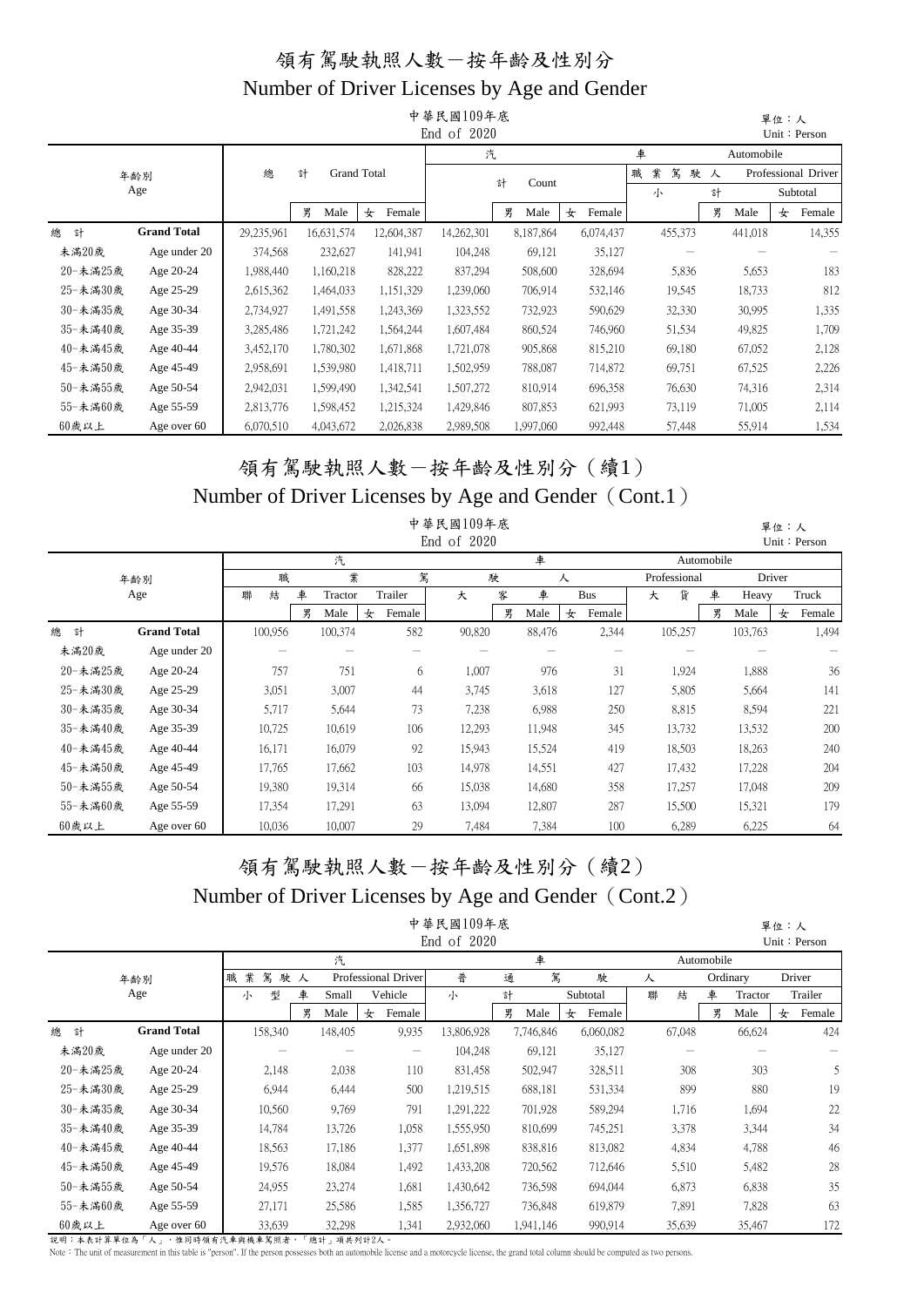|          |                    |            |         |                    |             | 中華民國109年底<br>End of 2020 |            |             |             |               |            | 單位:人 | Unit: Person        |  |  |  |  |
|----------|--------------------|------------|---------|--------------------|-------------|--------------------------|------------|-------------|-------------|---------------|------------|------|---------------------|--|--|--|--|
|          |                    |            |         |                    |             | 汽                        |            |             | 車           |               | Automobile |      |                     |  |  |  |  |
|          | 年齢別                | 總          | 計       | <b>Grand Total</b> |             |                          | 計<br>Count |             | 業<br>駕<br>職 | 駛人            |            |      | Professional Driver |  |  |  |  |
|          | Age                |            |         |                    |             |                          |            |             | 小           | 計<br>Subtotal |            |      |                     |  |  |  |  |
|          |                    |            | 男       | Male               | 女<br>Female |                          | 男<br>Male  | Female<br>女 |             | 男             | Male       | 女    | Female              |  |  |  |  |
| 總<br>計   | <b>Grand Total</b> | 29,235,961 |         | 16,631,574         | 12,604,387  | 14,262,301               | 8,187,864  | 6,074,437   | 455,373     |               | 441,018    |      | 14,355              |  |  |  |  |
| 未滿20歲    | Age under 20       | 374,568    |         | 232,627            | 141,941     | 104,248                  | 69,121     | 35,127      |             |               |            |      |                     |  |  |  |  |
| 20-未滿25歲 | Age 20-24          | 1,988,440  |         | 1,160,218          | 828,222     | 837,294                  | 508,600    | 328,694     | 5,836       |               | 5,653      |      | 183                 |  |  |  |  |
| 25-未滿30歲 | Age 25-29          | 2,615,362  |         | 1,464,033          | 1,151,329   | 1,239,060                | 706,914    | 532,146     | 19,545      |               | 18,733     |      | 812                 |  |  |  |  |
| 30-未滿35歲 | Age 30-34          | 2,734,927  |         | 1,491,558          | 1,243,369   | 1,323,552                | 732,923    | 590,629     | 32,330      |               | 30,995     |      | 1,335               |  |  |  |  |
| 35-未滿40歲 | Age 35-39          | 3,285,486  |         | 1,721,242          | 1,564,244   | 1,607,484                | 860,524    | 746,960     | 51,534      |               | 49,825     |      | 1,709               |  |  |  |  |
| 40-未滿45歲 | Age 40-44          | 3,452,170  |         | 1,780,302          | 1,671,868   | 1,721,078                | 905,868    | 815,210     | 69,180      |               | 67,052     |      | 2,128               |  |  |  |  |
| 45-未滿50歲 | Age 45-49          | 2,958,691  |         | 1,539,980          | 1,418,711   | 1,502,959                | 788,087    | 714,872     | 69,751      |               | 67,525     |      | 2,226               |  |  |  |  |
| 50-未滿55歲 | Age 50-54          | 2,942,031  |         | 1,599,490          | 1,342,541   | 1,507,272                | 810,914    | 696,358     | 76,630      |               | 74,316     |      | 2,314               |  |  |  |  |
| 55-未滿60歲 | Age 55-59          | 807,853    | 621,993 | 73,119             |             | 71,005                   |            | 2,114       |             |               |            |      |                     |  |  |  |  |
| 60歲以上    | Age over 60        | 6,070,510  |         | 4,043,672          | 2,026,838   | 2,989,508                | 1,997,060  | 992,448     | 57,448      |               | 55,914     |      | 1,534               |  |  |  |  |

#### 領有駕駛執照人數-按年齡及性別分(續1) Number of Driver Licenses by Age and Gender (Cont.1)

|          |                    |         |              |             | 中華民國109年底   |   |        |             |              |            |         | 單位:人   |              |
|----------|--------------------|---------|--------------|-------------|-------------|---|--------|-------------|--------------|------------|---------|--------|--------------|
|          |                    |         |              |             | End of 2020 |   |        |             |              |            |         |        | Unit: Person |
|          |                    |         | 汽            |             |             |   | 車      |             |              | Automobile |         |        |              |
|          | 年齢別                | 職       | 業            | 駕           |             | 駛 |        | 人           | Professional |            |         | Driver |              |
|          | Age                | 聯<br>結  | 車<br>Tractor | Trailer     | 大           | 客 | 車      | <b>Bus</b>  | 貨<br>大       | 車          | Heavy   |        | Truck        |
|          |                    |         | 男<br>Male    | Female<br>女 |             | 男 | Male   | Female<br>女 |              | 男          | Male    | 女      | Female       |
| 總<br>計   | <b>Grand Total</b> | 100,956 | 100,374      | 582         | 90,820      |   | 88,476 | 2,344       | 105,257      |            | 103,763 |        | 1,494        |
| 未滿20歲    | Age under 20       |         |              |             |             |   |        |             |              |            |         |        |              |
| 20-未滿25歲 | Age 20-24          | 757     | 751          | 6           | 1,007       |   | 976    | 31          | 1,924        |            | 1,888   |        | 36           |
| 25-未滿30歲 | Age 25-29          | 3,051   | 3,007        | 44          | 3,745       |   | 3,618  | 127         | 5,805        |            | 5,664   |        | 141          |
| 30-未滿35歲 | Age 30-34          | 5,717   | 5,644        | 73          | 7,238       |   | 6,988  | 250         | 8,815        |            | 8,594   |        | 221          |
| 35-未滿40歲 | Age 35-39          | 10,725  | 10,619       | 106         | 12,293      |   | 11,948 | 345         | 13,732       |            | 13,532  |        | 200          |
| 40-未滿45歲 | Age 40-44          | 16,171  | 16,079       | 92          | 15,943      |   | 15,524 | 419         | 18,503       |            | 18,263  |        | 240          |
| 45-未滿50歲 | Age 45-49          | 17,765  | 17,662       | 103         | 14,978      |   | 14,551 | 427         | 17,432       |            | 17,228  |        | 204          |
| 50-未滿55歲 | Age 50-54          | 19,380  | 19,314       | 66          | 15,038      |   | 14,680 | 358         | 17,257       |            | 17,048  |        | 209          |
| 55-未滿60歲 | Age 55-59          | 17,354  | 17,291       | 63          | 13,094      |   | 12,807 | 287         | 15,500       |            | 15,321  |        | 179          |
| 60歲以上    | Age over 60        | 10,036  | 10,007       | 29          | 7,484       |   | 7,384  | 100         | 6,289        |            | 6,225   |        | 64           |

# 領有駕駛執照人數-按年齡及性別分(續2)

#### Number of Driver Licenses by Age and Gender (Cont.2)

|          |                    |             |            |                     | 中華民國109年底<br>End of 2020 |           |         |           |   |        |            |          | 單位:人 | Unit: Person |
|----------|--------------------|-------------|------------|---------------------|--------------------------|-----------|---------|-----------|---|--------|------------|----------|------|--------------|
|          |                    |             | 汽          |                     |                          |           | 車       |           |   |        | Automobile |          |      |              |
|          | 年齢別                | 業<br>駕<br>職 | 駛人         | Professional Driver | 普                        | 通         | 駕       | 駛         | 人 |        |            | Ordinary |      | Driver       |
|          | Age                | 型<br>小      | 車<br>Small | Vehicle             | 小                        | 計         |         | Subtotal  | 聯 | 結      | 車          | Tractor  |      | Trailer      |
|          |                    |             | 男<br>Male  | Female<br>女         |                          | 男<br>Male | 女       | Female    |   |        | 男          | Male     | 女    | Female       |
| 總<br>計   | <b>Grand Total</b> | 158,340     | 148,405    | 9,935               | 13,806,928               | 7,746,846 |         | 6,060,082 |   | 67,048 |            | 66,624   |      | 424          |
| 未滿20歲    | Age under 20       |             |            |                     | 104,248                  |           | 69,121  | 35,127    |   |        |            |          |      |              |
| 20-未滿25歲 | Age 20-24          | 2,148       | 2,038      | 110                 | 831,458                  |           | 502,947 | 328,511   |   | 308    |            | 303      |      | 5            |
| 25-未滿30歲 | Age 25-29          | 6,944       | 6,444      | 500                 | 1,219,515                |           | 688,181 | 531,334   |   | 899    |            | 880      |      | 19           |
| 30-未滿35歲 | Age 30-34          | 10,560      | 9,769      | 791                 | 1,291,222                |           | 701,928 | 589,294   |   | 1,716  |            | 1,694    |      | 22           |
| 35-未滿40歲 | Age 35-39          | 14,784      | 13,726     | 1,058               | 1,555,950                |           | 810,699 | 745,251   |   | 3,378  |            | 3,344    |      | 34           |
| 40-未滿45歲 | Age 40-44          | 18,563      | 17,186     | 1,377               | 1,651,898                |           | 838,816 | 813,082   |   | 4,834  |            | 4,788    |      | 46           |
| 45-未滿50歲 | Age 45-49          | 19,576      | 18,084     | 1,492               | 1,433,208                |           | 720,562 | 712,646   |   | 5,510  |            | 5,482    |      | 28           |
| 50-未滿55歲 | Age 50-54          | 24,955      | 23,274     | 1,681               | 1,430,642                |           | 736,598 | 694,044   |   | 6,873  |            | 6,838    |      | 35           |
| 55-未滿60歲 | Age 55-59          | 27,171      | 25,586     | 1,585               | 1,356,727                |           | 736,848 | 619,879   |   | 7,891  |            | 7,828    |      | 63           |
| 60歲以上    | Age over 60        | 33,639      | 32,298     | 1,341               | 2,932,060                | 1,941,146 |         | 990,914   |   | 35,639 |            | 35,467   |      | 172          |

說明:本表計算單位為「人」,惟同時領有汽車與機車駕照者,「總計」項共列計2人。<br>Note:The unit of measurement in this table is "person". If the person possesses both an automobile license and a motorcycle license, the grand total column should be computed as tw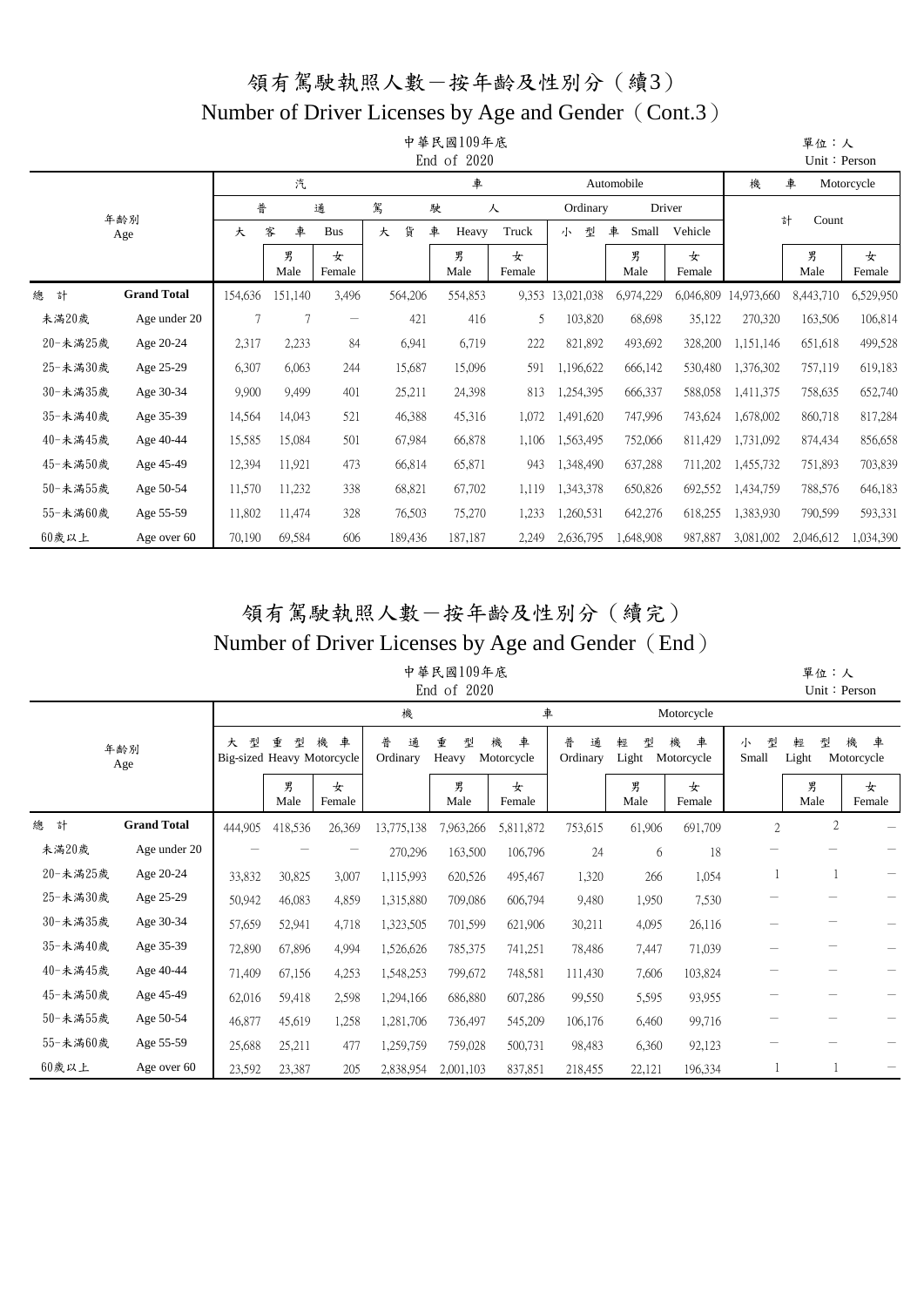## 領有駕駛執照人數-按年齡及性別分(續3) Number of Driver Licenses by Age and Gender (Cont.3)

|          |                    |         |           |                          |         | 中華民國109年底<br>End of $2020$ |             |            |            |             |            | 單位:人<br>Unit: Person |             |
|----------|--------------------|---------|-----------|--------------------------|---------|----------------------------|-------------|------------|------------|-------------|------------|----------------------|-------------|
|          |                    |         | 汽         |                          |         | 車                          |             |            | Automobile |             | 機          | 車                    | Motorcycle  |
|          | 年齢別                | 普       |           | 通                        | 駕       | 駛                          | 人           | Ordinary   |            | Driver      |            |                      |             |
|          | Age                | 大       | 車<br>客    | <b>Bus</b>               | 貨<br>大  | 車<br>Heavy                 | Truck       | 型<br>小     | 車<br>Small | Vehicle     |            | 計<br>Count           |             |
|          |                    |         | 男<br>Male | 女<br>Female              |         | 男<br>Male                  | 女<br>Female |            | 男<br>Male  | 女<br>Female |            | 男<br>Male            | 女<br>Female |
| 總<br>計   | <b>Grand Total</b> | 154,636 | 151,140   | 3,496                    | 564,206 | 554,853                    | 9,353       | 13,021,038 | 6,974,229  | 6,046,809   | 14,973,660 | 8,443,710            | 6,529,950   |
| 未満20歲    | Age under 20       | 7       | 7         | $\overline{\phantom{m}}$ | 421     | 416                        | 5           | 103,820    | 68,698     | 35,122      | 270,320    | 163,506              | 106,814     |
| 20-未滿25歲 | Age 20-24          | 2,317   | 2,233     | 84                       | 6,941   | 6,719                      | 222         | 821,892    | 493,692    | 328,200     | 1,151,146  | 651,618              | 499,528     |
| 25-未満30歲 | Age 25-29          | 6,307   | 6,063     | 244                      | 15,687  | 15,096                     | 591         | 1,196,622  | 666,142    | 530,480     | 1,376,302  | 757,119              | 619,183     |
| 30-未滿35歲 | Age 30-34          | 9,900   | 9,499     | 401                      | 25,211  | 24,398                     | 813         | 1,254,395  | 666,337    | 588,058     | 1,411,375  | 758,635              | 652,740     |
| 35-未滿40歲 | Age 35-39          | 14,564  | 14,043    | 521                      | 46,388  | 45,316                     | 1,072       | 1,491,620  | 747,996    | 743,624     | 1,678,002  | 860,718              | 817,284     |
| 40-未滿45歲 | Age 40-44          | 15,585  | 15,084    | 501                      | 67,984  | 66,878                     | 1,106       | 1,563,495  | 752,066    | 811,429     | 1,731,092  | 874,434              | 856,658     |
| 45-未満50歲 | Age 45-49          | 12,394  | 11,921    | 473                      | 66,814  | 65,871                     | 943         | 1,348,490  | 637,288    | 711,202     | 1,455,732  | 751,893              | 703,839     |
| 50-未滿55歲 | Age 50-54          | 11,570  | 11,232    | 338                      | 68,821  | 67,702                     | 1,119       | 1,343,378  | 650,826    | 692,552     | 1,434,759  | 788,576              | 646,183     |
| 55-未滿60歲 | Age 55-59          | 11,802  | 11,474    | 328                      | 76,503  | 75,270                     | 1,233       | 1,260,531  | 642,276    | 618,255     | 1,383,930  | 790,599              | 593,331     |
| 60歲以上    | Age over 60        | 70,190  | 69,584    | 606                      | 189,436 | 187,187                    | 2,249       | 2,636,795  | 1,648,908  | 987,887     | 3,081,002  | 2,046,612            | 1,034,390   |

## 領有駕駛執照人數-按年齡及性別分(續完) Number of Driver Licenses by Age and Gender (End)

中華民國109年底 End of 2020

 單位:人 Unit:Person

|          |                    |         |           |                                      | 機                  |                 | 車                    |                    |                 | Motorcycle           |                 |                 |                      |
|----------|--------------------|---------|-----------|--------------------------------------|--------------------|-----------------|----------------------|--------------------|-----------------|----------------------|-----------------|-----------------|----------------------|
|          | 年齢別<br>Age         | 型<br>大  | 重<br>퓇    | 車<br>機<br>Big-sized Heavy Motorcycle | 普<br>通<br>Ordinary | 重<br>型<br>Heavy | 車<br>機<br>Motorcycle | 普<br>通<br>Ordinary | 型<br>輕<br>Light | 車<br>機<br>Motorcycle | 型<br>小<br>Small | 輕<br>型<br>Light | 機<br>車<br>Motorcycle |
|          |                    |         | 男<br>Male | 女<br>Female                          |                    | 男<br>Male       | 女<br>Female          |                    | 男<br>Male       | 女<br>Female          |                 | 男<br>Male       | 女<br>Female          |
| 總<br>計   | <b>Grand Total</b> | 444,905 | 418,536   | 26,369                               | 13,775,138         | 7,963,266       | 5,811,872            | 753,615            | 61,906          | 691,709              | $\overline{2}$  | $\sqrt{2}$      |                      |
| 未満20歲    | Age under 20       |         |           |                                      | 270,296            | 163,500         | 106,796              | 24                 | 6               | 18                   |                 |                 |                      |
| 20-未滿25歲 | Age 20-24          | 33,832  | 30,825    | 3,007                                | 1,115,993          | 620,526         | 495,467              | 1,320              | 266             | 1,054                |                 |                 |                      |
| 25-未満30歲 | Age 25-29          | 50,942  | 46,083    | 4,859                                | 1,315,880          | 709,086         | 606,794              | 9,480              | 1,950           | 7,530                |                 |                 |                      |
| 30-未満35歲 | Age 30-34          | 57,659  | 52,941    | 4,718                                | 1,323,505          | 701,599         | 621,906              | 30,211             | 4,095           | 26,116               |                 |                 |                      |
| 35-未滿40歲 | Age 35-39          | 72,890  | 67,896    | 4,994                                | 1,526,626          | 785,375         | 741,251              | 78,486             | 7,447           | 71,039               |                 |                 |                      |
| 40-未滿45歲 | Age 40-44          | 71,409  | 67,156    | 4,253                                | 1,548,253          | 799,672         | 748,581              | 111,430            | 7,606           | 103,824              |                 |                 |                      |
| 45-未滿50歲 | Age 45-49          | 62,016  | 59,418    | 2,598                                | 1,294,166          | 686,880         | 607,286              | 99,550             | 5,595           | 93,955               |                 |                 |                      |
| 50-未満55歲 | Age 50-54          | 46,877  | 45,619    | 1,258                                | 1,281,706          | 736,497         | 545,209              | 106,176            | 6,460           | 99,716               |                 |                 |                      |
| 55-未満60歲 | Age 55-59          | 25,688  | 25,211    | 477                                  | 1,259,759          | 759,028         | 500,731              | 98,483             | 6,360           | 92,123               |                 |                 |                      |
| 60歲以上    | Age over 60        | 23,592  | 23,387    | 205                                  | 2,838,954          | 2,001,103       | 837,851              | 218,455            | 22,121          | 196,334              |                 |                 |                      |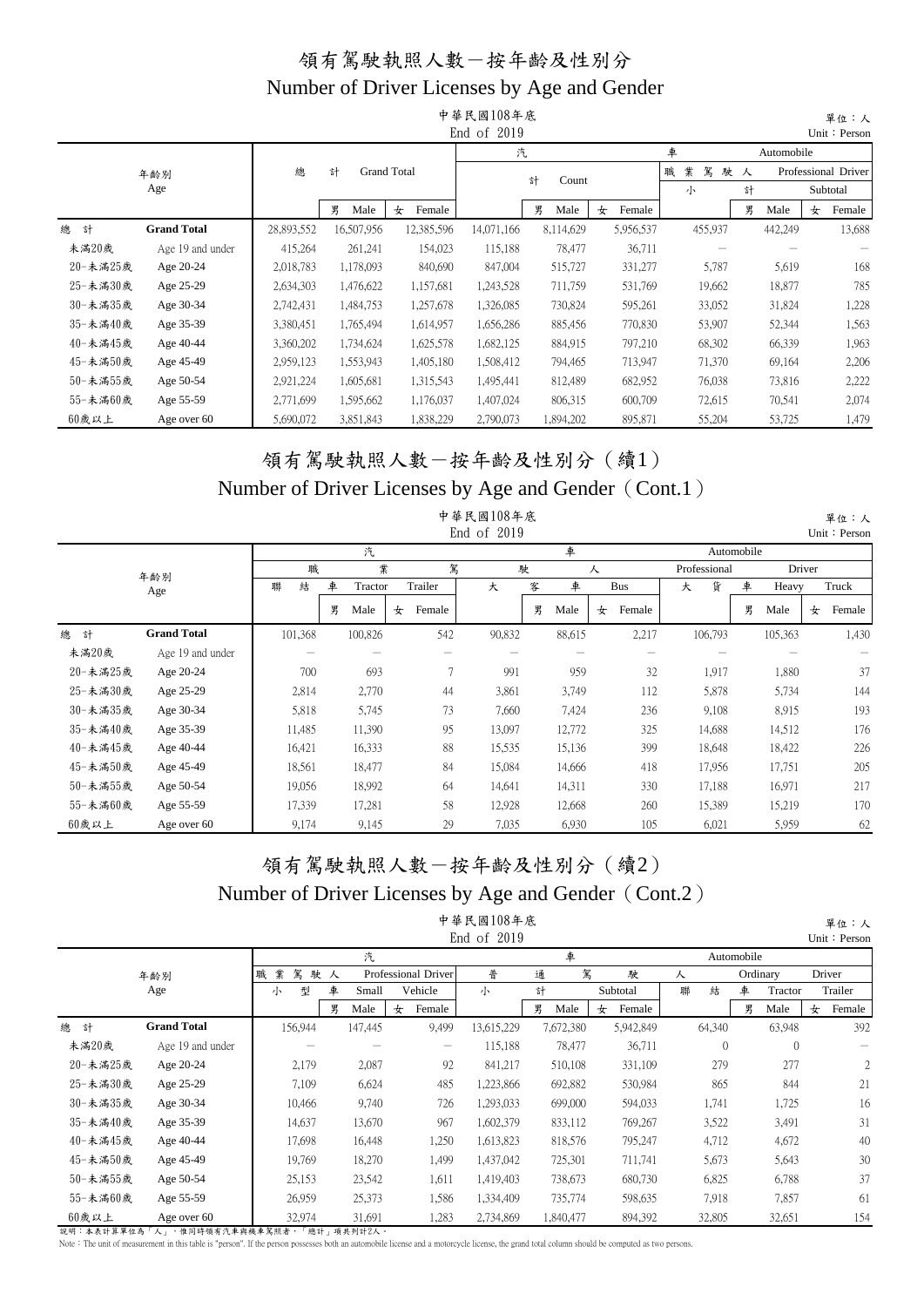|          |                    |            |            |                    | 中華民國108年底<br>End of 2019 |            |             |             |            |   | 單位:人<br>Unit: Person |
|----------|--------------------|------------|------------|--------------------|--------------------------|------------|-------------|-------------|------------|---|----------------------|
|          |                    |            |            |                    | 汽                        |            |             | 車           | Automobile |   |                      |
|          | 年齢別                | 總          | 計          | <b>Grand Total</b> |                          | 計<br>Count |             | 業<br>駕<br>職 | 駛人         |   | Professional Driver  |
|          | Age                |            |            |                    |                          |            |             | 小           | 計          |   | Subtotal             |
|          |                    |            | 男<br>Male  | Female<br>女        |                          | 男<br>Male  | Female<br>女 |             | 男<br>Male  | 女 | Female               |
| 總<br>計   | <b>Grand Total</b> | 28,893,552 | 16,507,956 | 12,385,596         | 14,071,166               | 8,114,629  | 5,956,537   | 455,937     | 442,249    |   | 13,688               |
| 未滿20歲    | Age 19 and under   | 415,264    | 261,241    | 154,023            | 115,188                  | 78,477     | 36,711      |             |            |   |                      |
| 20-未滿25歲 | Age 20-24          | 2,018,783  | 1,178,093  | 840,690            | 847,004                  | 515,727    | 331,277     | 5,787       | 5,619      |   | 168                  |
| 25-未滿30歲 | Age 25-29          | 2,634,303  | 1,476,622  | 1,157,681          | 1,243,528                | 711,759    | 531,769     | 19,662      | 18,877     |   | 785                  |
| 30-未滿35歲 | Age 30-34          | 2,742,431  | 1,484,753  | 1,257,678          | 1,326,085                | 730,824    | 595,261     | 33,052      | 31,824     |   | 1,228                |
| 35-未滿40歲 | Age 35-39          | 3,380,451  | 1,765,494  | 1,614,957          | 1,656,286                | 885,456    | 770,830     | 53,907      | 52,344     |   | 1,563                |
| 40-未滿45歲 | Age 40-44          | 3,360,202  | 1,734,624  | 1,625,578          | 1,682,125                | 884,915    | 797,210     | 68,302      | 66,339     |   | 1,963                |
| 45-未滿50歲 | Age 45-49          | 2,959,123  | 1,553,943  | 1,405,180          | 1,508,412                | 794,465    | 713,947     | 71,370      | 69,164     |   | 2,206                |
| 50-未滿55歲 | Age 50-54          | 2,921,224  | 1,605,681  | 1,315,543          | 1,495,441                | 812,489    | 682,952     | 76,038      | 73,816     |   | 2,222                |
| 55-未滿60歲 | Age 55-59          | 2,771,699  | 1,595,662  | 1,176,037          | 1,407,024                | 806,315    | 600,709     | 72,615      | 70,541     |   | 2,074                |
| 60歲以上    | Age over 60        | 5,690,072  | 3,851,843  | 1,838,229          | 2,790,073                | 1,894,202  | 895,871     | 55,204      | 53,725     |   | 1,479                |

#### 領有駕駛執照人數-按年齡及性別分(續1) Number of Driver Licenses by Age and Gender (Cont.1)

|          |                    |         |   |         |   |         | 中華民國108年底<br>End of 2019 |   |        |   |            |   |              |            |         |        | 單位:人<br>Unit: Person |
|----------|--------------------|---------|---|---------|---|---------|--------------------------|---|--------|---|------------|---|--------------|------------|---------|--------|----------------------|
|          |                    |         |   | 汽       |   |         |                          |   | 車      |   |            |   |              | Automobile |         |        |                      |
|          | 年齢別                | 職       |   | 業       |   | 駕       |                          | 駛 |        | 人 |            |   | Professional |            |         | Driver |                      |
|          | Age                | 結<br>聯  | 車 | Tractor |   | Trailer | 大                        | 客 | 車      |   | <b>Bus</b> | 大 | 貨            | 車          | Heavy   |        | Truck                |
|          |                    |         | 男 | Male    | 女 | Female  |                          | 男 | Male   | 女 | Female     |   |              | 男          | Male    | 女      | Female               |
| 總<br>計   | <b>Grand Total</b> | 101,368 |   | 100,826 |   | 542     | 90,832                   |   | 88,615 |   | 2,217      |   | 106,793      |            | 105,363 |        | 1,430                |
| 未滿20歲    | Age 19 and under   |         |   |         |   |         |                          |   |        |   |            |   |              |            |         |        |                      |
| 20-未滿25歲 | Age 20-24          | 700     |   | 693     |   | 7       | 991                      |   | 959    |   | 32         |   | 1,917        |            | 1,880   |        | 37                   |
| 25-未滿30歲 | Age 25-29          | 2,814   |   | 2,770   |   | 44      | 3,861                    |   | 3,749  |   | 112        |   | 5,878        |            | 5,734   |        | 144                  |
| 30-未滿35歲 | Age 30-34          | 5,818   |   | 5,745   |   | 73      | 7,660                    |   | 7,424  |   | 236        |   | 9,108        |            | 8.915   |        | 193                  |
| 35-未滿40歲 | Age 35-39          | 11,485  |   | 11,390  |   | 95      | 13,097                   |   | 12,772 |   | 325        |   | 14,688       |            | 14,512  |        | 176                  |
| 40-未滿45歲 | Age 40-44          | 16,421  |   | 16,333  |   | 88      | 15,535                   |   | 15,136 |   | 399        |   | 18,648       |            | 18,422  |        | 226                  |
| 45-未滿50歲 | Age 45-49          | 18,561  |   | 18,477  |   | 84      | 15,084                   |   | 14,666 |   | 418        |   | 17,956       |            | 17,751  |        | 205                  |
| 50-未滿55歲 | Age 50-54          | 19,056  |   | 18,992  |   | 64      | 14,641                   |   | 14,311 |   | 330        |   | 17,188       |            | 16,971  |        | 217                  |
| 55-未滿60歲 | Age 55-59          | 17,339  |   | 17,281  |   | 58      | 12,928                   |   | 12,668 |   | 260        |   | 15,389       |            | 15,219  |        | 170                  |
| 60歲以上    | Age over 60        | 9,174   |   | 9,145   |   | 29      | 7,035                    |   | 6,930  |   | 105        |   | 6,021        |            | 5,959   |        | 62                   |

#### 領有駕駛執照人數-按年齡及性別分(續2) Number of Driver Licenses by Age and Gender (Cont.2) 中華民國108年底

|          |                    |             |            |       |                     | 中華民國108年底   |   |           |             |   |          |            |          |   | 單位:人         |
|----------|--------------------|-------------|------------|-------|---------------------|-------------|---|-----------|-------------|---|----------|------------|----------|---|--------------|
|          |                    |             |            |       |                     | End of 2019 |   |           |             |   |          |            |          |   | Unit: Persor |
|          |                    |             | 汽          |       |                     |             |   | 車         |             |   |          | Automobile |          |   |              |
|          | 年齡別                | 業<br>駕<br>職 | 駛人         |       | Professional Driver | 普           | 通 | 駕         | 駛           | 人 |          |            | Ordinary |   | Driver       |
|          | Age                | 型<br>小      | 車<br>Small |       | Vehicle             | 小           | 計 |           | Subtotal    | 聯 | 結        | 車          | Tractor  |   | Trailer      |
|          |                    |             | 男<br>Male  |       | Female<br>女         |             | 男 | Male      | Female<br>女 |   |          | 男          | Male     | 女 | Female       |
| 總<br>計   | <b>Grand Total</b> | 156,944     | 147,445    |       | 9,499               | 13,615,229  |   | 7,672,380 | 5,942,849   |   | 64,340   |            | 63,948   |   | 392          |
| 未滿20歲    | Age 19 and under   |             |            |       |                     | 115,188     |   | 78,477    | 36,711      |   | $\theta$ |            | $\theta$ |   |              |
| 20-未滿25歲 | Age 20-24          | 2,179       |            | 2,087 | 92                  | 841,217     |   | 510,108   | 331,109     |   | 279      |            | 277      |   | 2            |
| 25-未満30歲 | Age 25-29          | 7,109       |            | 6,624 | 485                 | 1,223,866   |   | 692,882   | 530,984     |   | 865      |            | 844      |   | 21           |
| 30-未満35歲 | Age 30-34          | 10,466      |            | 9,740 | 726                 | 1,293,033   |   | 699,000   | 594,033     |   | 1,741    |            | 1,725    |   | 16           |
| 35-未滿40歲 | Age 35-39          | 14,637      | 13,670     |       | 967                 | 1,602,379   |   | 833,112   | 769,267     |   | 3,522    |            | 3,491    |   | 31           |
| 40-未滿45歲 | Age 40-44          | 17,698      | 16,448     |       | 1,250               | 1,613,823   |   | 818,576   | 795,247     |   | 4,712    |            | 4,672    |   | 40           |
| 45-未滿50歲 | Age 45-49          | 19,769      | 18,270     |       | 1,499               | 1,437,042   |   | 725,301   | 711,741     |   | 5,673    |            | 5,643    |   | 30           |
| 50-未滿55歲 | Age 50-54          | 25,153      | 23,542     |       | 1,611               | 1,419,403   |   | 738,673   | 680,730     |   | 6,825    |            | 6,788    |   | 37           |
| 55-未滿60歲 | Age 55-59          | 26,959      | 25,373     |       | 1.586               | 1,334,409   |   | 735,774   | 598,635     |   | 7.918    |            | 7,857    |   | 61           |
| 60歲以上    | Age over 60        | 32,974      | 31,691     |       | 1,283               | 2,734,869   |   | 1,840,477 | 894,392     |   | 32,805   |            | 32,651   |   | 154          |

說明:本表計算單位為「人」,惟同時領有汽車與機車駕照者,「總計」項共列計2人。

Note: The unit of measurement in this table is "person". If the person possesses both an automobile license and a motorcycle license, the grand total column should be computed as two persons.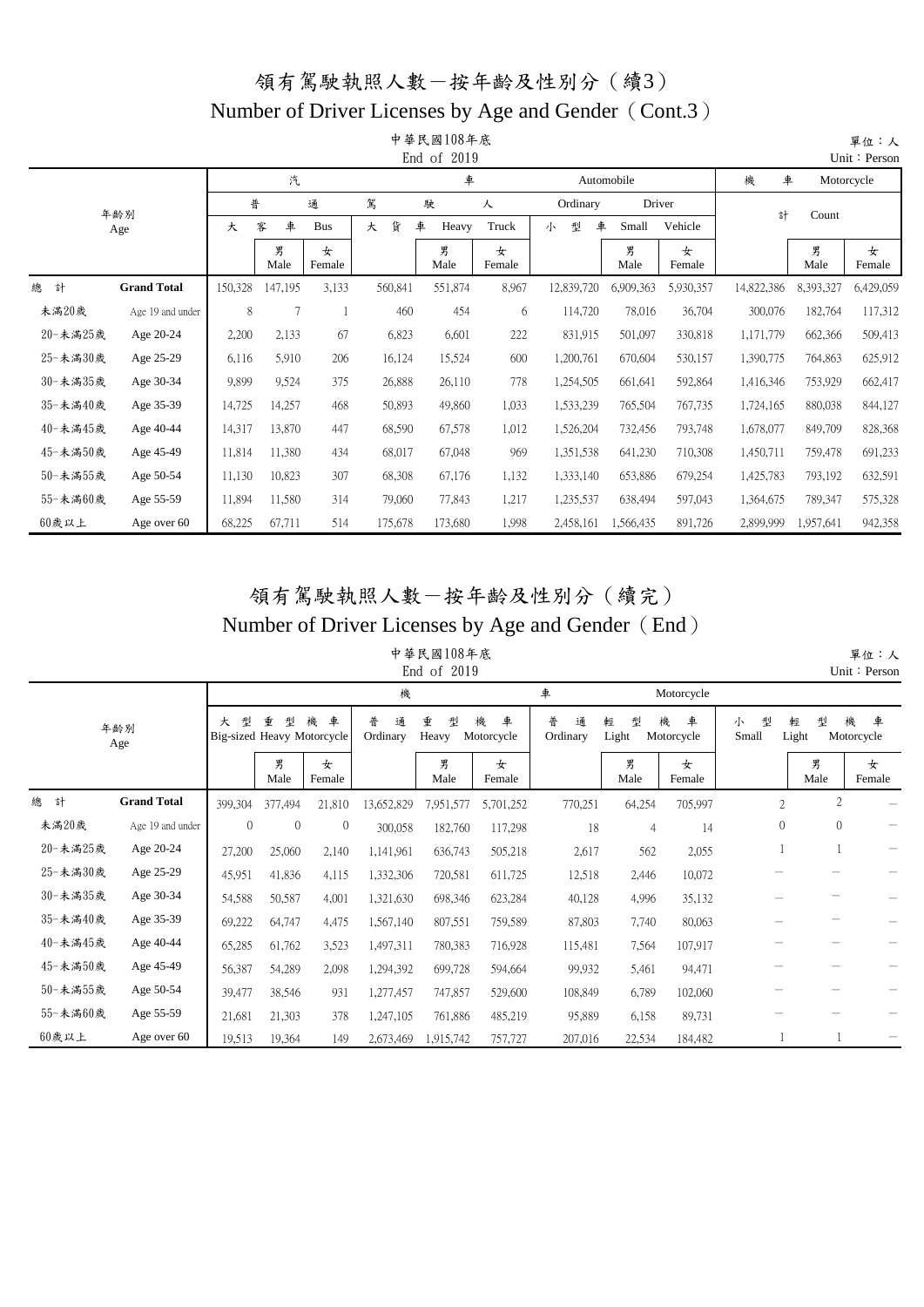#### Number of Driver Licenses by Age and Gender (Cont.3)

|          |                    |         |           |             |         | 中華民國108年底<br>End of 2019 |             |             |            |             |            |           | 單位:人<br>Unit: Person |
|----------|--------------------|---------|-----------|-------------|---------|--------------------------|-------------|-------------|------------|-------------|------------|-----------|----------------------|
|          |                    |         | 汽         |             |         | 車                        |             |             | Automobile |             | 機<br>車     |           | Motorcycle           |
|          | 年齢別                | 普       |           | 通           | 駕       | 駛                        | 人           | Ordinary    | Driver     |             | 計          | Count     |                      |
|          | Age                | 大       | 車<br>客    | <b>Bus</b>  | 貨<br>大  | 車<br>Heavy               | Truck       | 型<br>車<br>小 | Small      | Vehicle     |            |           |                      |
|          |                    |         | 男<br>Male | 女<br>Female |         | 男<br>Male                | 女<br>Female |             | 男<br>Male  | 女<br>Female |            | 男<br>Male | 女<br>Female          |
| 總<br>計   | <b>Grand Total</b> | 150,328 | 147,195   | 3,133       | 560,841 | 551,874                  | 8,967       | 12,839,720  | 6,909,363  | 5,930,357   | 14,822,386 | 8,393,327 | 6,429,059            |
| 未滿20歲    | Age 19 and under   | 8       | 7         |             | 460     | 454                      | 6           | 114,720     | 78,016     | 36,704      | 300,076    | 182,764   | 117,312              |
| 20-未滿25歲 | Age 20-24          | 2,200   | 2,133     | 67          | 6,823   | 6,601                    | 222         | 831,915     | 501,097    | 330,818     | 1,171,779  | 662,366   | 509,413              |
| 25-未滿30歲 | Age 25-29          | 6,116   | 5,910     | 206         | 16,124  | 15,524                   | 600         | 1,200,761   | 670,604    | 530,157     | 1,390,775  | 764,863   | 625,912              |
| 30-未滿35歲 | Age 30-34          | 9,899   | 9,524     | 375         | 26,888  | 26,110                   | 778         | 1,254,505   | 661,641    | 592,864     | 1,416,346  | 753,929   | 662,417              |
| 35-未滿40歲 | Age 35-39          | 14,725  | 14,257    | 468         | 50,893  | 49,860                   | 1,033       | 1,533,239   | 765,504    | 767,735     | 1,724,165  | 880,038   | 844,127              |
| 40-未滿45歲 | Age 40-44          | 14,317  | 13,870    | 447         | 68,590  | 67,578                   | 1,012       | 1,526,204   | 732,456    | 793,748     | 1,678,077  | 849,709   | 828,368              |
| 45-未滿50歲 | Age 45-49          | 11,814  | 11,380    | 434         | 68,017  | 67,048                   | 969         | 1,351,538   | 641,230    | 710,308     | 1,450,711  | 759,478   | 691,233              |
| 50-未滿55歲 | Age 50-54          | 11,130  | 10,823    | 307         | 68,308  | 67,176                   | 1,132       | 1,333,140   | 653,886    | 679,254     | 1,425,783  | 793,192   | 632,591              |
| 55-未滿60歲 | Age 55-59          | 11,894  | 11,580    | 314         | 79,060  | 77,843                   | 1,217       | 1,235,537   | 638,494    | 597,043     | 1,364,675  | 789,347   | 575,328              |
| 60歲以上    | Age over 60        | 68,225  | 67,711    | 514         | 175,678 | 173,680                  | 1,998       | 2,458,161   | 1,566,435  | 891,726     | 2,899,999  | 1,957,641 | 942,358              |

#### 領有駕駛執照人數-按年齡及性別分(續完) Number of Driver Licenses by Age and Gender (End)

單位:人

中華民國108年底 End of 2019

|          |                    |              |                                      |              |                    | End of 2019     |                      |                    |                 |                      |                 |                 | Unit: Person         |
|----------|--------------------|--------------|--------------------------------------|--------------|--------------------|-----------------|----------------------|--------------------|-----------------|----------------------|-----------------|-----------------|----------------------|
|          |                    |              |                                      |              | 機                  |                 |                      | 車                  |                 | Motorcycle           |                 |                 |                      |
|          | 年齢別<br>Age         | 型<br>大       | 重<br>型<br>Big-sized Heavy Motorcycle | 機<br>車       | 普<br>通<br>Ordinary | 重<br>型<br>Heavy | 機<br>車<br>Motorcycle | 普<br>通<br>Ordinary | 輕<br>型<br>Light | 機<br>車<br>Motorcycle | 型<br>小<br>Small | 型<br>輕<br>Light | 機<br>車<br>Motorcycle |
|          |                    |              | 男<br>Male                            | 女<br>Female  |                    | 男<br>Male       | 女<br>Female          |                    | 男<br>Male       | 女<br>Female          |                 | 男<br>Male       | 女<br>Female          |
| 總<br>計   | <b>Grand Total</b> | 399,304      | 377,494                              | 21,810       | 13,652,829         | 7,951,577       | 5,701,252            | 770,251            | 64,254          | 705,997              | $\overline{2}$  | 2               |                      |
| 未滿20歲    | Age 19 and under   | $\mathbf{0}$ | $\mathbf{0}$                         | $\mathbf{0}$ | 300,058            | 182,760         | 117,298              | 18                 | 4               | 14                   | $\theta$        | $\theta$        |                      |
| 20-未滿25歲 | Age 20-24          | 27,200       | 25,060                               | 2,140        | 1,141,961          | 636,743         | 505,218              | 2,617              | 562             | 2,055                |                 |                 |                      |
| 25-未滿30歲 | Age 25-29          | 45,951       | 41,836                               | 4,115        | 1,332,306          | 720,581         | 611,725              | 12,518             | 2,446           | 10,072               |                 |                 |                      |
| 30-未滿35歲 | Age 30-34          | 54,588       | 50,587                               | 4,001        | 1,321,630          | 698,346         | 623,284              | 40,128             | 4,996           | 35,132               |                 |                 |                      |
| 35-未滿40歲 | Age 35-39          | 69,222       | 64,747                               | 4,475        | 1,567,140          | 807,551         | 759,589              | 87,803             | 7,740           | 80,063               |                 |                 |                      |
| 40-未滿45歲 | Age 40-44          | 65,285       | 61,762                               | 3,523        | 1,497,311          | 780,383         | 716,928              | 115,481            | 7,564           | 107,917              |                 |                 |                      |
| 45-未滿50歲 | Age 45-49          | 56,387       | 54,289                               | 2,098        | 1,294,392          | 699,728         | 594,664              | 99,932             | 5,461           | 94,471               |                 |                 |                      |
| 50-未滿55歲 | Age 50-54          | 39,477       | 38,546                               | 931          | 1,277,457          | 747,857         | 529,600              | 108,849            | 6,789           | 102,060              |                 |                 |                      |
| 55-未滿60歲 | Age 55-59          | 21,681       | 21,303                               | 378          | 1,247,105          | 761,886         | 485,219              | 95,889             | 6,158           | 89,731               |                 |                 |                      |
| $60$ 歲以上 | Age over 60        | 19.513       | 19,364                               | 149          | 2,673,469          | 1,915,742       | 757,727              | 207,016            | 22,534          | 184,482              |                 |                 |                      |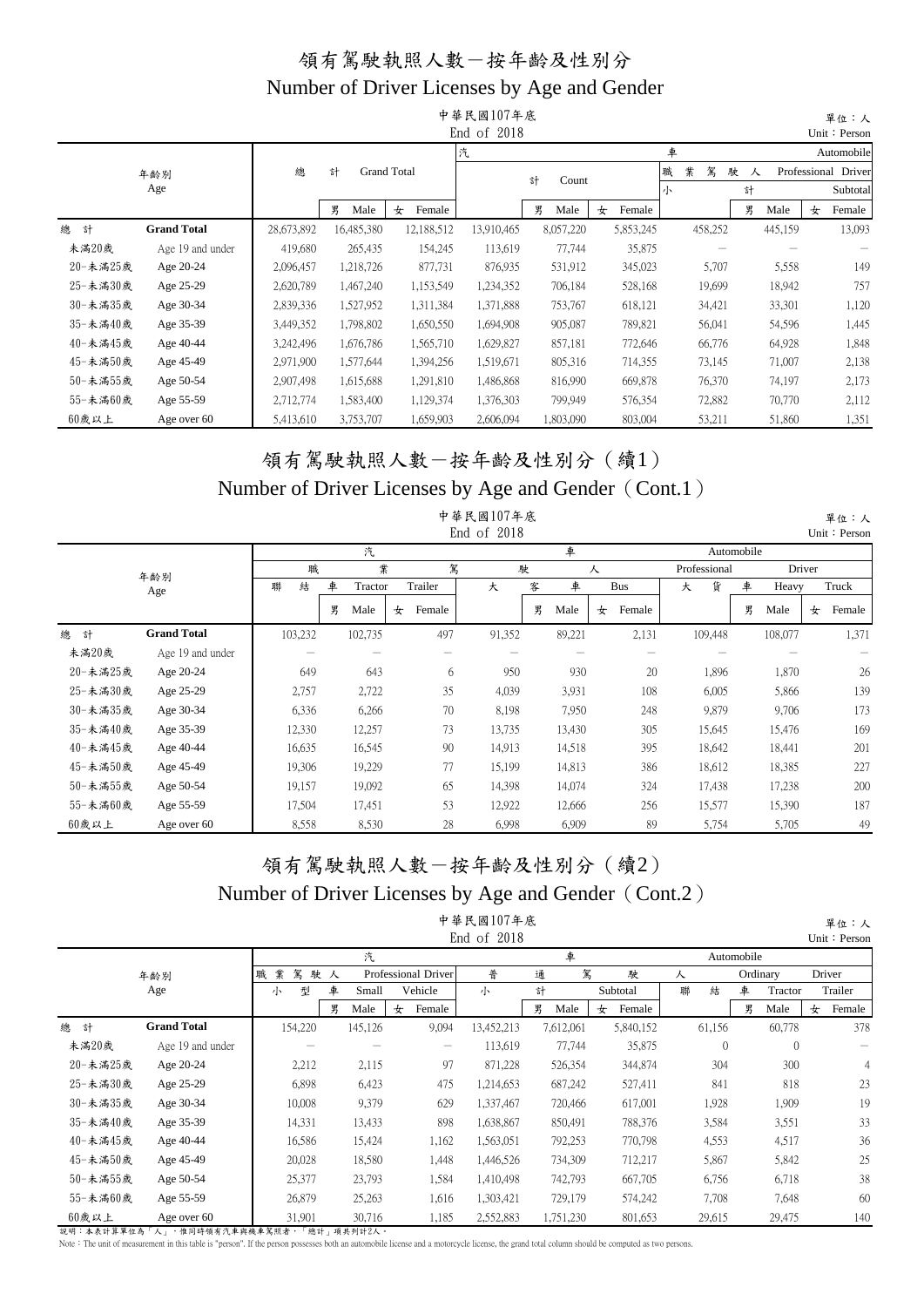|          |                    |            |            |                    | 中華民國107年底   |            |             |        |         |        |         |   | 單位:人                |
|----------|--------------------|------------|------------|--------------------|-------------|------------|-------------|--------|---------|--------|---------|---|---------------------|
|          |                    |            |            |                    | End of 2018 |            |             |        |         |        |         |   | Unit: Person        |
|          |                    |            |            |                    | 汽           |            |             | 車      |         |        |         |   | Automobile          |
|          | 年齢別                | 總          | 計          | <b>Grand Total</b> |             | 計<br>Count |             | 業<br>職 | 駕       | 駛<br>人 |         |   | Professional Driver |
|          | Age                |            |            |                    |             |            |             | 小      |         | 計      |         |   | Subtotal            |
|          |                    |            | 男<br>Male  | 女<br>Female        |             | 男<br>Male  | 女<br>Female |        |         | 男      | Male    | 女 | Female              |
| 總<br>計   | <b>Grand Total</b> | 28,673,892 | 16,485,380 | 12,188,512         | 13,910,465  | 8,057,220  | 5,853,245   |        | 458,252 |        | 445,159 |   | 13,093              |
| 未滿20歲    | Age 19 and under   | 419,680    | 265,435    | 154,245            | 113,619     | 77,744     | 35,875      |        |         |        |         |   |                     |
| 20-未滿25歲 | Age 20-24          | 2,096,457  | 1,218,726  | 877,731            | 876,935     | 531,912    | 345,023     |        | 5,707   |        | 5,558   |   | 149                 |
| 25-未滿30歲 | Age 25-29          | 2,620,789  | 1,467,240  | 1,153,549          | 1,234,352   | 706,184    | 528,168     |        | 19,699  |        | 18,942  |   | 757                 |
| 30-未満35歲 | Age 30-34          | 2,839,336  | 1,527,952  | 1,311,384          | 1,371,888   | 753,767    | 618,121     |        | 34,421  |        | 33,301  |   | 1,120               |
| 35-未滿40歲 | Age 35-39          | 3,449,352  | 1,798,802  | 1,650,550          | 1,694,908   | 905,087    | 789,821     |        | 56,041  |        | 54,596  |   | 1,445               |
| 40-未滿45歲 | Age 40-44          | 3,242,496  | 1,676,786  | 1,565,710          | 1,629,827   | 857,181    | 772,646     |        | 66,776  |        | 64,928  |   | 1,848               |
| 45-未滿50歲 | Age 45-49          | 2,971,900  | 1,577,644  | 1,394,256          | 1,519,671   | 805,316    | 714,355     |        | 73,145  |        | 71,007  |   | 2,138               |
| 50-未滿55歲 | Age 50-54          | 2,907,498  | 1,615,688  | 1,291,810          | 1,486,868   | 816,990    | 669,878     |        | 76,370  |        | 74,197  |   | 2,173               |
| 55-未滿60歲 | Age 55-59          | 2,712,774  | 1,583,400  | 1,129,374          | 1,376,303   | 799,949    | 576,354     |        | 72,882  |        | 70,770  |   | 2,112               |
| 60歲以上    | Age over 60        | 5,413,610  | 3,753,707  | 1,659,903          | 2,606,094   | 1,803,090  | 803,004     |        | 53,211  |        | 51,860  |   | 1,351               |

#### 領有駕駛執照人數-按年齡及性別分(續1) Number of Driver Licenses by Age and Gender (Cont.1)

|          |                    |         |   |         |             |     | 中華民國107年底<br>End of 2018 |   |        |             |              |            |         |        | 單位:人<br>Unit: Person |
|----------|--------------------|---------|---|---------|-------------|-----|--------------------------|---|--------|-------------|--------------|------------|---------|--------|----------------------|
|          |                    |         |   | 汽       |             |     |                          |   | 車      |             |              | Automobile |         |        |                      |
|          | 年齢別                | 職       |   | 業       |             | 駕   |                          | 駛 |        | 人           | Professional |            |         | Driver |                      |
|          | Age                | 結<br>聯  | 車 | Tractor | Trailer     |     | 大                        | 客 | 車      | Bus         | 貨<br>大       | 車          | Heavy   |        | Truck                |
|          |                    |         | 男 | Male    | Female<br>女 |     |                          | 男 | Male   | Female<br>女 |              | 男          | Male    | 女      | Female               |
| 總<br>計   | <b>Grand Total</b> | 103,232 |   | 102,735 |             | 497 | 91,352                   |   | 89,221 | 2,131       | 109,448      |            | 108,077 |        | 1,371                |
| 未滿20歲    | Age 19 and under   |         |   |         |             |     |                          |   |        |             |              |            |         |        |                      |
| 20-未滿25歲 | Age 20-24          | 649     |   | 643     |             | 6   | 950                      |   | 930    | 20          | 1,896        |            | 1,870   |        | 26                   |
| 25-未滿30歲 | Age 25-29          | 2,757   |   | 2,722   |             | 35  | 4,039                    |   | 3,931  | 108         | 6,005        |            | 5,866   |        | 139                  |
| 30-未滿35歲 | Age 30-34          | 6,336   |   | 6,266   |             | 70  | 8,198                    |   | 7,950  | 248         | 9,879        |            | 9,706   |        | 173                  |
| 35-未滿40歲 | Age 35-39          | 12,330  |   | 12,257  |             | 73  | 13,735                   |   | 13,430 | 305         | 15,645       |            | 15,476  |        | 169                  |
| 40-未滿45歲 | Age 40-44          | 16,635  |   | 16,545  |             | 90  | 14,913                   |   | 14,518 | 395         | 18,642       |            | 18,441  |        | 201                  |
| 45-未滿50歲 | Age 45-49          | 19,306  |   | 19,229  |             | 77  | 15,199                   |   | 14,813 | 386         | 18,612       |            | 18,385  |        | 227                  |
| 50-未滿55歲 | Age 50-54          | 19,157  |   | 19,092  |             | 65  | 14,398                   |   | 14,074 | 324         | 17,438       |            | 17,238  |        | 200                  |
| 55-未滿60歲 | Age 55-59          | 17,504  |   | 17,451  |             | 53  | 12,922                   |   | 12,666 | 256         | 15,577       |            | 15,390  |        | 187                  |
| 60歲以上    | Age over 60        | 8,558   |   | 8,530   |             | 28  | 6,998                    |   | 6,909  | 89          | 5,754        |            | 5,705   |        | 49                   |

#### 領有駕駛執照人數-按年齡及性別分(續2) Number of Driver Licenses by Age and Gender (Cont.2) 中華民國107年底

|          |                    |             |    |         |   |                                       | 中華民國107年底   |   |           |             |   |          |            |              |   | 單位:人         |
|----------|--------------------|-------------|----|---------|---|---------------------------------------|-------------|---|-----------|-------------|---|----------|------------|--------------|---|--------------|
|          |                    |             |    |         |   |                                       | End of 2018 |   |           |             |   |          |            |              |   | Unit: Persor |
|          |                    |             |    | 汽       |   |                                       |             |   | 車         |             |   |          | Automobile |              |   |              |
|          | 年齢別                | 駕<br>業<br>職 | 駛人 |         |   | Professional Driver                   | 普           | 通 | 駕         | 駛           | 人 |          |            | Ordinary     |   | Driver       |
|          | Age                | 型<br>小      | 車  | Small   |   | Vehicle                               | 小           | 計 |           | Subtotal    | 聯 | 結        | 車          | Tractor      |   | Trailer      |
|          |                    |             | 男  | Male    | 女 | Female                                |             | 男 | Male      | Female<br>女 |   |          | 男          | Male         | 女 | Female       |
| 總<br>計   | <b>Grand Total</b> | 154,220     |    | 145,126 |   | 9,094                                 | 13,452,213  |   | 7,612,061 | 5,840,152   |   | 61,156   |            | 60,778       |   | 378          |
| 未滿20歲    | Age 19 and under   |             |    |         |   | $\hspace{1.0cm} \rule{1.5cm}{0.15cm}$ | 113,619     |   | 77,744    | 35,875      |   | $\theta$ |            | $\mathbf{0}$ |   |              |
| 20-未滿25歲 | Age 20-24          | 2,212       |    | 2,115   |   | 97                                    | 871,228     |   | 526,354   | 344,874     |   | 304      |            | 300          |   | 4            |
| 25-未滿30歲 | Age 25-29          | 6,898       |    | 6,423   |   | 475                                   | 1,214,653   |   | 687,242   | 527,411     |   | 841      |            | 818          |   | 23           |
| 30-未満35歲 | Age 30-34          | 10,008      |    | 9,379   |   | 629                                   | 1,337,467   |   | 720,466   | 617,001     |   | 1,928    |            | 1,909        |   | 19           |
| 35-未滿40歲 | Age 35-39          | 14,331      |    | 13,433  |   | 898                                   | 1,638,867   |   | 850,491   | 788,376     |   | 3,584    |            | 3,551        |   | 33           |
| 40-未滿45歲 | Age 40-44          | 16,586      |    | 15,424  |   | 1,162                                 | 1,563,051   |   | 792,253   | 770,798     |   | 4,553    |            | 4,517        |   | 36           |
| 45-未滿50歲 | Age 45-49          | 20,028      |    | 18,580  |   | 1,448                                 | 1,446,526   |   | 734,309   | 712,217     |   | 5,867    |            | 5,842        |   | 25           |
| 50-未滿55歲 | Age 50-54          | 25,377      |    | 23,793  |   | 1,584                                 | 1,410,498   |   | 742,793   | 667,705     |   | 6,756    |            | 6,718        |   | 38           |
| 55-未滿60歲 | Age 55-59          | 26,879      |    | 25,263  |   | 1,616                                 | 1,303,421   |   | 729,179   | 574,242     |   | 7,708    |            | 7,648        |   | 60           |
| 60歲以上    | Age over 60        | 31,901      |    | 30,716  |   | 1,185                                 | 2,552,883   |   | 1,751,230 | 801,653     |   | 29,615   |            | 29,475       |   | 140          |

說明:本表計算單位為「人」,惟同時領有汽車與機車駕照者,「總計」項共列計2人。

Note: The unit of measurement in this table is "person". If the person possesses both an automobile license and a motorcycle license, the grand total column should be computed as two persons.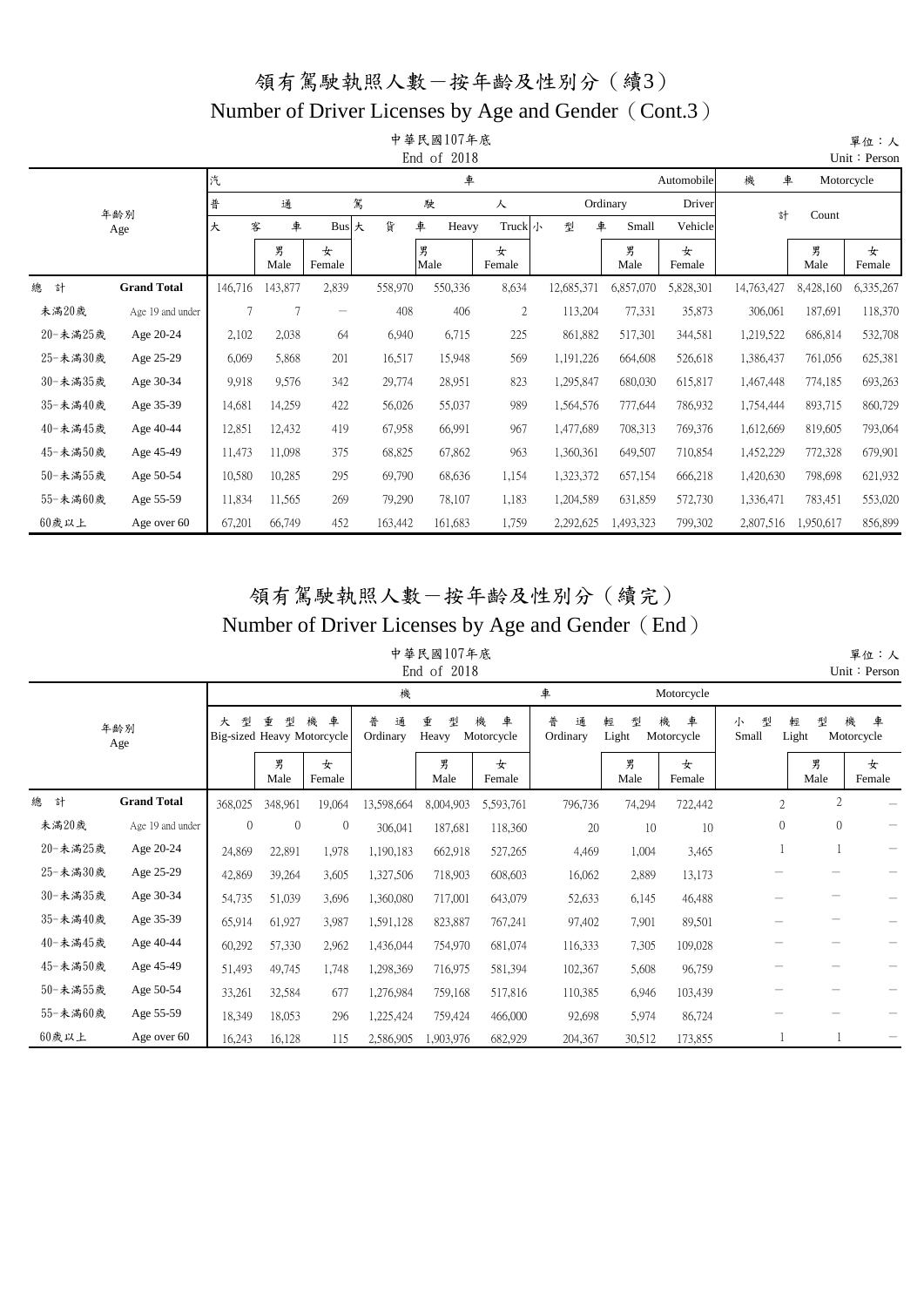#### Number of Driver Licenses by Age and Gender (Cont.3)

|          |                    |         |           |                   |         | 中華民國107年底<br>End of 2018 |              |            |           |             |            |           | 單位:人<br>Unit: Person |
|----------|--------------------|---------|-----------|-------------------|---------|--------------------------|--------------|------------|-----------|-------------|------------|-----------|----------------------|
|          |                    | 汽       |           |                   |         | 車                        |              |            |           | Automobile  | 機<br>車     |           | Motorcycle           |
|          | 年齢別                | 普       | 通         |                   | 駕       | 駛                        | 人            |            | Ordinary  | Driver      | 計          | Count     |                      |
|          | Age                | 客<br>大  | 車         | <b>Bus</b>        | 貨<br>大  | 車<br>Heavy               | Truck小       | 型<br>車     | Small     | Vehicle     |            |           |                      |
|          |                    |         | 男<br>Male | 女<br>Female       |         | 男<br>Male                | 女<br>Female  |            | 男<br>Male | 女<br>Female |            | 男<br>Male | 女<br>Female          |
| 總<br>計   | <b>Grand Total</b> | 146,716 | 143,877   | 2,839             | 558,970 | 550,336                  | 8,634        | 12,685,371 | 6,857,070 | 5,828,301   | 14,763,427 | 8,428,160 | 6,335,267            |
| 未滿20歲    | Age 19 and under   | $\tau$  | 7         | $\qquad \qquad -$ | 408     | 406                      | $\mathbf{2}$ | 113,204    | 77,331    | 35,873      | 306,061    | 187,691   | 118,370              |
| 20-未滿25歲 | Age 20-24          | 2,102   | 2,038     | 64                | 6,940   | 6,715                    | 225          | 861,882    | 517,301   | 344,581     | 1,219,522  | 686,814   | 532,708              |
| 25-未滿30歲 | Age 25-29          | 6,069   | 5,868     | 201               | 16,517  | 15,948                   | 569          | 1,191,226  | 664,608   | 526,618     | 1,386,437  | 761,056   | 625,381              |
| 30-未滿35歲 | Age 30-34          | 9,918   | 9,576     | 342               | 29,774  | 28,951                   | 823          | 1,295,847  | 680,030   | 615,817     | 1,467,448  | 774,185   | 693,263              |
| 35-未滿40歲 | Age 35-39          | 14,681  | 14,259    | 422               | 56,026  | 55,037                   | 989          | 1,564,576  | 777,644   | 786,932     | 1,754,444  | 893,715   | 860,729              |
| 40-未滿45歲 | Age 40-44          | 12,851  | 12,432    | 419               | 67,958  | 66,991                   | 967          | 1,477,689  | 708,313   | 769,376     | 1,612,669  | 819,605   | 793,064              |
| 45-未滿50歲 | Age 45-49          | 11,473  | 11,098    | 375               | 68,825  | 67,862                   | 963          | 1,360,361  | 649,507   | 710,854     | 1,452,229  | 772,328   | 679,901              |
| 50-未滿55歲 | Age 50-54          | 10,580  | 10,285    | 295               | 69,790  | 68,636                   | 1,154        | 1,323,372  | 657,154   | 666,218     | 1,420,630  | 798,698   | 621,932              |
| 55-未滿60歲 | Age 55-59          | 11,834  | 11,565    | 269               | 79,290  | 78,107                   | 1,183        | 1,204,589  | 631,859   | 572,730     | 1,336,471  | 783,451   | 553,020              |
| 60歲以上    | Age over 60        | 67,201  | 66,749    | 452               | 163,442 | 161,683                  | 1,759        | 2,292,625  | 1,493,323 | 799,302     | 2,807,516  | 1,950,617 | 856,899              |

#### 領有駕駛執照人數-按年齡及性別分(續完) Number of Driver Licenses by Age and Gender (End)

#### 中華民國107年底  $End of 2018$

|          |                    |          |           |                                      |                    | LIIU UI LUIO    |                      |                    |                 |                      |                 |                 | $OIII \cdot FCISOH$  |
|----------|--------------------|----------|-----------|--------------------------------------|--------------------|-----------------|----------------------|--------------------|-----------------|----------------------|-----------------|-----------------|----------------------|
|          |                    |          |           |                                      | 機                  |                 |                      | 車                  |                 | Motorcycle           |                 |                 |                      |
|          | 年齢別<br>Age         | 型<br>大   | 重<br>型    | 機<br>車<br>Big-sized Heavy Motorcycle | 普<br>通<br>Ordinary | 重<br>型<br>Heavy | 機<br>車<br>Motorcycle | 普<br>通<br>Ordinary | 輕<br>型<br>Light | 機<br>車<br>Motorcycle | 型<br>小<br>Small | 型<br>輕<br>Light | 機<br>車<br>Motorcycle |
|          |                    |          | 男<br>Male | 女<br>Female                          |                    | 男<br>Male       | 女<br>Female          |                    | 男<br>Male       | 女<br>Female          |                 | 男<br>Male       | 女<br>Female          |
| 總<br>計   | <b>Grand Total</b> | 368,025  | 348,961   | 19,064                               | 13,598,664         | 8,004,903       | 5,593,761            | 796,736            | 74,294          | 722,442              | $\overline{2}$  | $\overline{c}$  |                      |
| 未滿20歲    | Age 19 and under   | $\theta$ | $\theta$  | $\theta$                             | 306,041            | 187,681         | 118,360              | 20                 | 10              | 10                   | $\mathbf{0}$    | $\overline{0}$  |                      |
| 20-未滿25歲 | Age 20-24          | 24,869   | 22,891    | 1,978                                | 1,190,183          | 662,918         | 527,265              | 4,469              | 1,004           | 3,465                |                 |                 |                      |
| 25-未滿30歲 | Age 25-29          | 42,869   | 39,264    | 3,605                                | 1,327,506          | 718,903         | 608,603              | 16,062             | 2,889           | 13,173               |                 |                 |                      |
| 30-未滿35歲 | Age 30-34          | 54,735   | 51,039    | 3,696                                | 1,360,080          | 717,001         | 643,079              | 52,633             | 6,145           | 46,488               |                 |                 |                      |
| 35-未滿40歲 | Age 35-39          | 65,914   | 61,927    | 3,987                                | 1,591,128          | 823,887         | 767,241              | 97,402             | 7,901           | 89,501               |                 |                 |                      |
| 40-未滿45歲 | Age 40-44          | 60,292   | 57,330    | 2,962                                | 1,436,044          | 754,970         | 681,074              | 116,333            | 7,305           | 109,028              |                 |                 |                      |
| 45-未滿50歲 | Age 45-49          | 51,493   | 49,745    | 1,748                                | 1,298,369          | 716,975         | 581,394              | 102,367            | 5,608           | 96,759               |                 |                 |                      |
| 50-未滿55歲 | Age 50-54          | 33,261   | 32,584    | 677                                  | 1,276,984          | 759,168         | 517,816              | 110,385            | 6,946           | 103,439              |                 |                 |                      |
| 55-未滿60歲 | Age 55-59          | 18,349   | 18,053    | 296                                  | 1,225,424          | 759,424         | 466,000              | 92,698             | 5,974           | 86,724               |                 |                 |                      |
| 60歲以上    | Age over 60        | 16,243   | 16,128    | 115                                  | 2,586,905          | 1,903,976       | 682,929              | 204,367            | 30,512          | 173,855              |                 |                 |                      |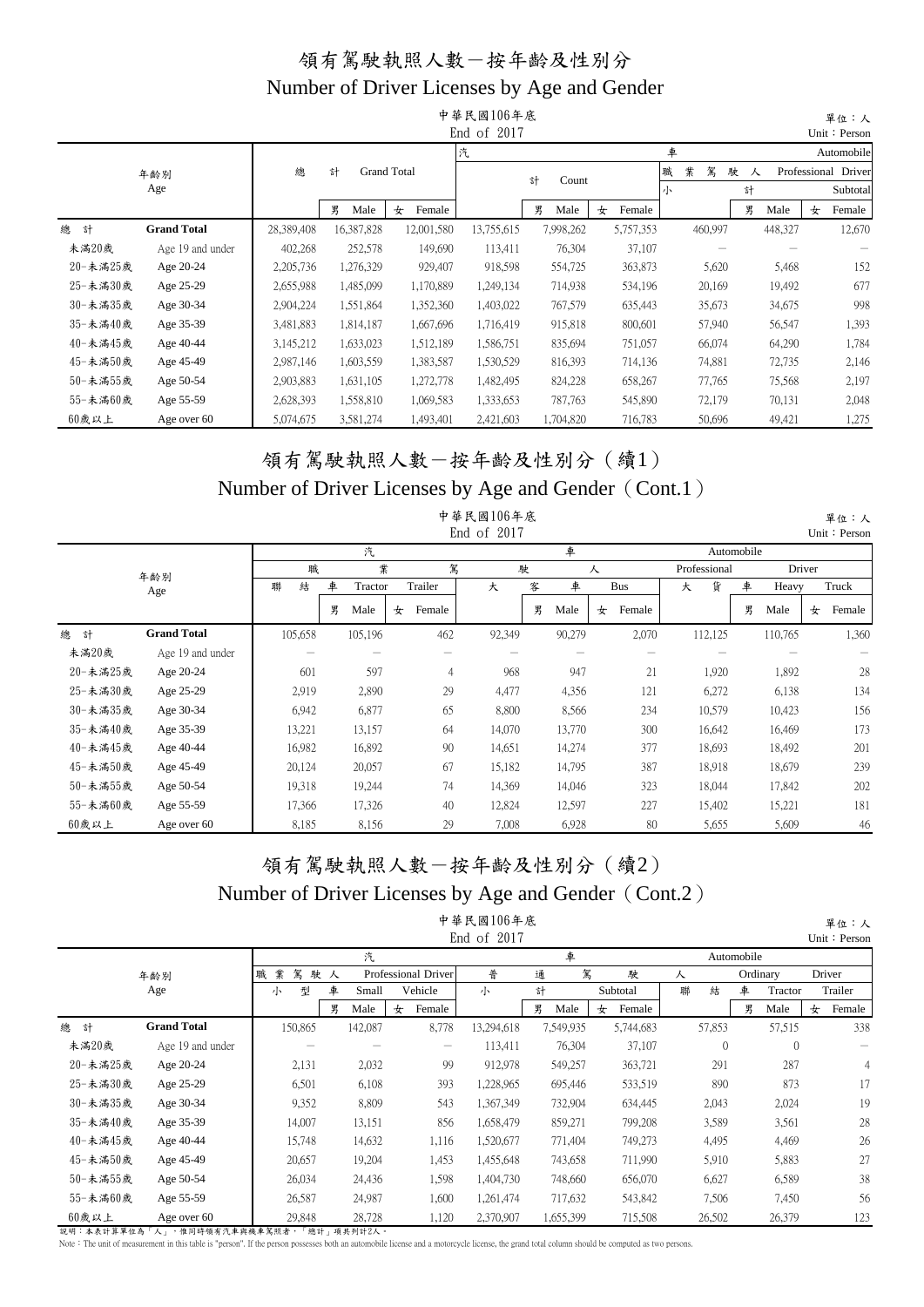|          |                    |            |            |                    | 中華民國106年底   |            |             |   |         |        |         |   | 單位:人                |
|----------|--------------------|------------|------------|--------------------|-------------|------------|-------------|---|---------|--------|---------|---|---------------------|
|          |                    |            |            |                    | End of 2017 |            |             |   |         |        |         |   | Unit: Person        |
|          |                    |            |            |                    | 汽           |            |             | 車 |         |        |         |   | Automobile          |
|          | 年齢別                | 總          | 計          | <b>Grand Total</b> |             | 計<br>Count |             | 職 | 業<br>駕  | 駛<br>人 |         |   | Professional Driver |
|          | Age                |            |            |                    |             |            |             | 小 |         | 計      |         |   | Subtotal            |
|          |                    |            | 男<br>Male  | 女<br>Female        |             | 男<br>Male  | Female<br>女 |   |         | 男      | Male    | 女 | Female              |
| 總<br>計   | <b>Grand Total</b> | 28,389,408 | 16,387,828 | 12,001,580         | 13,755,615  | 7,998,262  | 5,757,353   |   | 460,997 |        | 448,327 |   | 12,670              |
| 未滿20歲    | Age 19 and under   | 402,268    | 252,578    | 149,690            | 113,411     | 76,304     | 37,107      |   |         |        |         |   |                     |
| 20-未滿25歲 | Age 20-24          | 2,205,736  | 1,276,329  | 929,407            | 918,598     | 554,725    | 363,873     |   | 5,620   |        | 5,468   |   | 152                 |
| 25-未満30歲 | Age 25-29          | 2,655,988  | 1,485,099  | 1,170,889          | 1,249,134   | 714,938    | 534,196     |   | 20,169  |        | 19,492  |   | 677                 |
| 30-未満35歲 | Age 30-34          | 2,904,224  | 1,551,864  | 1,352,360          | 1,403,022   | 767,579    | 635,443     |   | 35,673  |        | 34,675  |   | 998                 |
| 35-未滿40歲 | Age 35-39          | 3,481,883  | 1,814,187  | 1,667,696          | 1,716,419   | 915,818    | 800,601     |   | 57,940  |        | 56,547  |   | 1,393               |
| 40-未滿45歲 | Age 40-44          | 3,145,212  | 1,633,023  | 1,512,189          | 1,586,751   | 835,694    | 751,057     |   | 66,074  |        | 64,290  |   | 1,784               |
| 45-未滿50歲 | Age 45-49          | 2,987,146  | 1,603,559  | 1,383,587          | 1,530,529   | 816,393    | 714,136     |   | 74,881  |        | 72,735  |   | 2,146               |
| 50-未滿55歲 | Age 50-54          | 2,903,883  | 1,631,105  | 1,272,778          | 1,482,495   | 824,228    | 658,267     |   | 77,765  |        | 75,568  |   | 2,197               |
| 55-未滿60歲 | Age 55-59          | 2,628,393  | 1,558,810  | 1,069,583          | 1,333,653   | 787,763    | 545,890     |   | 72,179  |        | 70,131  |   | 2,048               |
| 60歲以上    | Age over 60        | 5,074,675  | 3,581,274  | 1,493,401          | 2,421,603   | 1,704,820  | 716,783     |   | 50,696  |        | 49,421  |   | 1,275               |

#### 領有駕駛執照人數-按年齡及性別分(續1) Number of Driver Licenses by Age and Gender (Cont.1)

|          |                    |         |   |         |   |         | 中華民國106年底<br>End of 2017 |   |        |   |            |              |            |         |        | 單位:人<br>Unit: Person |
|----------|--------------------|---------|---|---------|---|---------|--------------------------|---|--------|---|------------|--------------|------------|---------|--------|----------------------|
|          |                    |         |   | 汽       |   |         |                          |   | 車      |   |            |              | Automobile |         |        |                      |
|          | 年齢別                | 職       |   | 業       |   | 駕       |                          | 駛 |        | 人 |            | Professional |            |         | Driver |                      |
|          | Age                | 結<br>聯  | 車 | Tractor |   | Trailer | 大                        | 客 | 車      |   | <b>Bus</b> | 貨<br>大       | 車          | Heavy   |        | Truck                |
|          |                    |         | 男 | Male    | 女 | Female  |                          | 男 | Male   | 女 | Female     |              | 男          | Male    | 女      | Female               |
| 總<br>計   | <b>Grand Total</b> | 105,658 |   | 105,196 |   | 462     | 92,349                   |   | 90,279 |   | 2,070      | 112,125      |            | 110,765 |        | 1,360                |
| 未滿20歲    | Age 19 and under   |         |   |         |   |         |                          |   |        |   |            |              |            |         |        |                      |
| 20-未滿25歲 | Age 20-24          | 601     |   | 597     |   | 4       | 968                      |   | 947    |   | 21         | 1,920        |            | 1,892   |        | 28                   |
| 25-未滿30歲 | Age 25-29          | 2,919   |   | 2,890   |   | 29      | 4,477                    |   | 4,356  |   | 121        | 6,272        |            | 6,138   |        | 134                  |
| 30-未滿35歲 | Age 30-34          | 6,942   |   | 6,877   |   | 65      | 8,800                    |   | 8,566  |   | 234        | 10,579       |            | 10,423  |        | 156                  |
| 35-未滿40歲 | Age 35-39          | 13,221  |   | 13,157  |   | 64      | 14,070                   |   | 13,770 |   | 300        | 16,642       |            | 16,469  |        | 173                  |
| 40-未滿45歲 | Age 40-44          | 16,982  |   | 16,892  |   | 90      | 14,651                   |   | 14,274 |   | 377        | 18,693       |            | 18,492  |        | 201                  |
| 45-未滿50歲 | Age 45-49          | 20,124  |   | 20,057  |   | 67      | 15,182                   |   | 14,795 |   | 387        | 18,918       |            | 18,679  |        | 239                  |
| 50-未滿55歲 | Age 50-54          | 19,318  |   | 19,244  |   | 74      | 14,369                   |   | 14,046 |   | 323        | 18,044       |            | 17,842  |        | 202                  |
| 55-未滿60歲 | Age 55-59          | 17,366  |   | 17,326  |   | 40      | 12,824                   |   | 12,597 |   | 227        | 15,402       |            | 15,221  |        | 181                  |
| 60歲以上    | Age over 60        | 8,185   |   | 8,156   |   | 29      | 7,008                    |   | 6,928  |   | 80         | 5,655        |            | 5,609   |        | 46                   |

#### 領有駕駛執照人數-按年齡及性別分(續2) Number of Driver Licenses by Age and Gender (Cont.2) 中華民國106年底

|          |                    |             |           |       |                                       | $+$ $V$ $\sim$ $ 1$ $V$ $\sim$ $+$ $V$ $\sim$<br>End of 2017 |   |           |             |   |          |            |          |   | 平址・八<br>Unit: Persor |
|----------|--------------------|-------------|-----------|-------|---------------------------------------|--------------------------------------------------------------|---|-----------|-------------|---|----------|------------|----------|---|----------------------|
|          |                    |             |           | 汽     |                                       |                                                              |   | 車         |             |   |          | Automobile |          |   |                      |
|          | 年齢別                | 駕<br>職<br>業 | 駛人        |       | Professional Driver                   | 普                                                            | 通 | 駕         | 駛           | 人 |          |            | Ordinary |   | Driver               |
|          | Age                | 型<br>小      | 車         | Small | Vehicle                               | 小                                                            | 計 |           | Subtotal    | 聯 | 結        | 車          | Tractor  |   | Trailer              |
|          |                    |             | 男<br>Male | 女     | Female                                |                                                              | 男 | Male      | Female<br>女 |   |          | 男          | Male     | 女 | Female               |
| 總<br>計   | <b>Grand Total</b> | 150,865     | 142,087   |       | 8,778                                 | 13,294,618                                                   |   | 7,549,935 | 5,744,683   |   | 57,853   |            | 57,515   |   | 338                  |
| 未滿20歲    | Age 19 and under   |             |           |       | $\hspace{1.0cm} \rule{1.5cm}{0.15cm}$ | 113,411                                                      |   | 76,304    | 37,107      |   | $\theta$ |            | $\theta$ |   |                      |
| 20-未滿25歲 | Age 20-24          | 2,131       |           | 2,032 | 99                                    | 912,978                                                      |   | 549,257   | 363,721     |   | 291      |            | 287      |   |                      |
| 25-未満30歲 | Age 25-29          | 6,501       |           | 6,108 | 393                                   | 1,228,965                                                    |   | 695,446   | 533,519     |   | 890      |            | 873      |   | 17                   |
| 30-未満35歲 | Age 30-34          | 9,352       |           | 8,809 | 543                                   | 1,367,349                                                    |   | 732,904   | 634,445     |   | 2,043    |            | 2,024    |   | 19                   |
| 35-未滿40歲 | Age 35-39          | 14,007      | 13,151    |       | 856                                   | 1,658,479                                                    |   | 859,271   | 799,208     |   | 3,589    |            | 3,561    |   | 28                   |
| 40-未滿45歲 | Age 40-44          | 15,748      | 14,632    |       | 1,116                                 | 1,520,677                                                    |   | 771,404   | 749,273     |   | 4,495    |            | 4,469    |   | 26                   |
| 45-未滿50歲 | Age 45-49          | 20,657      | 19,204    |       | 1,453                                 | 1,455,648                                                    |   | 743,658   | 711,990     |   | 5,910    |            | 5,883    |   | 27                   |
| 50-未滿55歲 | Age 50-54          | 26,034      | 24,436    |       | 1.598                                 | 1,404,730                                                    |   | 748,660   | 656,070     |   | 6,627    |            | 6,589    |   | 38                   |
| 55-未滿60歲 | Age 55-59          | 26,587      | 24,987    |       | 1,600                                 | 1,261,474                                                    |   | 717,632   | 543,842     |   | 7,506    |            | 7,450    |   | 56                   |
| 60歲以上    | Age over 60        | 29,848      | 28,728    |       | 1,120                                 | 2,370,907                                                    |   | 1,655,399 | 715,508     |   | 26,502   |            | 26,379   |   | 123                  |

說明:本表計算單位為「人」,惟同時領有汽車與機車駕照者,「總計」項共列計2人。

Note: The unit of measurement in this table is "person". If the person possesses both an automobile license and a motorcycle license, the grand total column should be computed as two persons.

單位:人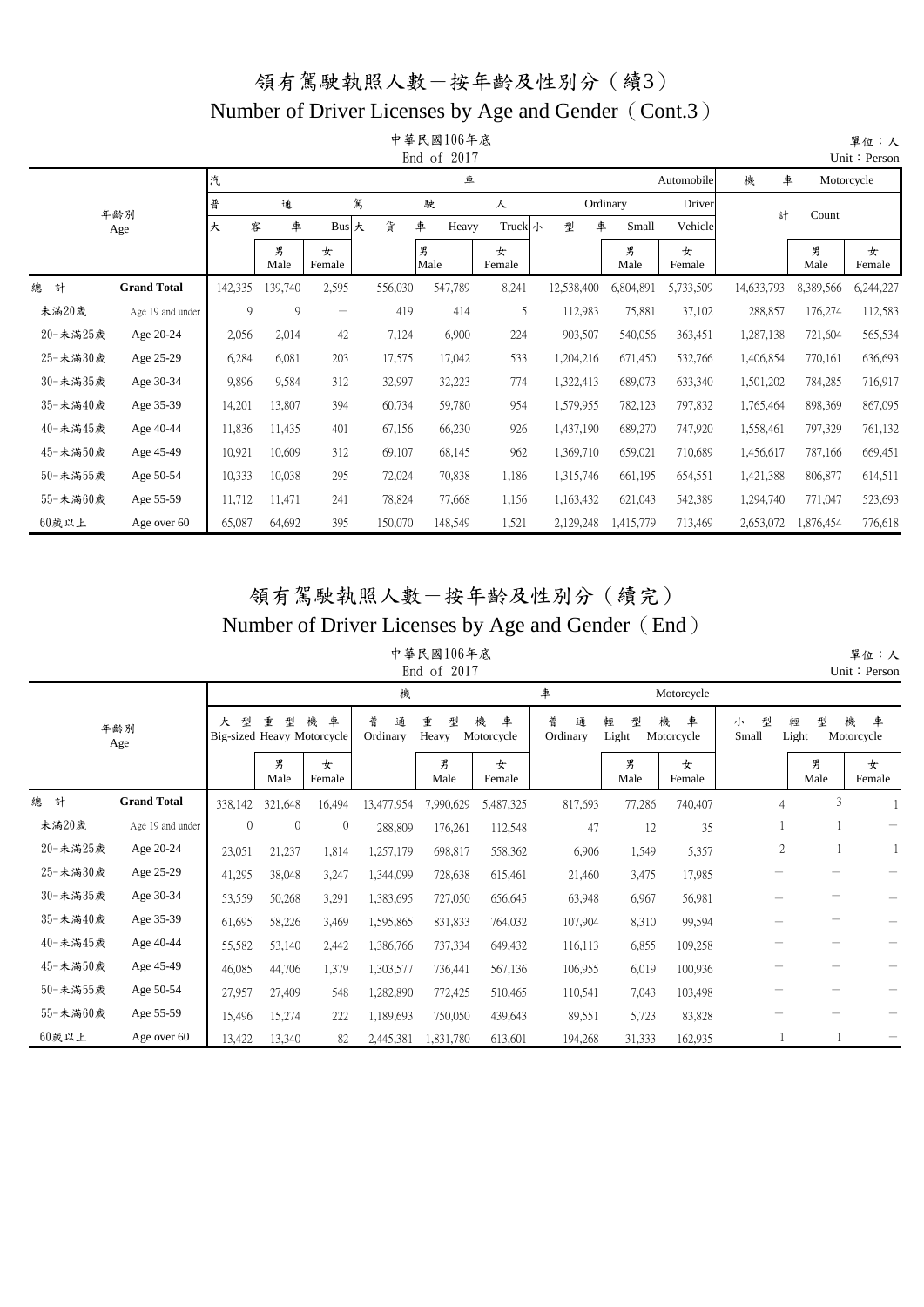#### Number of Driver Licenses by Age and Gender (Cont.3)

|          |                    |         |           |             |         | 中華民國106年底<br>End of 2017 |             |            |            |             |            |           | 單位:人<br>Unit: Person |
|----------|--------------------|---------|-----------|-------------|---------|--------------------------|-------------|------------|------------|-------------|------------|-----------|----------------------|
|          |                    | 汽       |           |             |         | 車                        |             |            |            | Automobile  | 機<br>車     |           | Motorcycle           |
|          | 年齢別                | 普       | 通         |             | 駕       | 駛                        | 人           |            | Ordinary   | Driver      | 計          | Count     |                      |
|          | Age                | 大       | 車<br>客    | Bus 大       | 貨       | 車<br>Heavy               | Truck 小     | 型          | 車<br>Small | Vehicle     |            |           |                      |
|          |                    |         | 男<br>Male | 女<br>Female |         | 男<br>Male                | 女<br>Female |            | 男<br>Male  | 女<br>Female |            | 男<br>Male | 女<br>Female          |
| 總<br>計   | <b>Grand Total</b> | 142,335 | 139,740   | 2,595       | 556,030 | 547,789                  | 8,241       | 12,538,400 | 6,804,891  | 5,733,509   | 14,633,793 | 8,389,566 | 6,244,227            |
| 未滿20歲    | Age 19 and under   | 9       | 9         | -           | 419     | 414                      | 5           | 112,983    | 75,881     | 37,102      | 288,857    | 176,274   | 112,583              |
| 20-未滿25歲 | Age 20-24          | 2,056   | 2,014     | 42          | 7,124   | 6,900                    | 224         | 903,507    | 540,056    | 363,451     | 1,287,138  | 721,604   | 565,534              |
| 25-未滿30歲 | Age 25-29          | 6,284   | 6,081     | 203         | 17,575  | 17,042                   | 533         | 1,204,216  | 671,450    | 532,766     | 1,406,854  | 770,161   | 636,693              |
| 30-未滿35歲 | Age 30-34          | 9,896   | 9,584     | 312         | 32,997  | 32,223                   | 774         | 1,322,413  | 689,073    | 633,340     | 1,501,202  | 784,285   | 716,917              |
| 35-未滿40歲 | Age 35-39          | 14,201  | 13,807    | 394         | 60,734  | 59,780                   | 954         | 1,579,955  | 782,123    | 797,832     | 1,765,464  | 898,369   | 867,095              |
| 40-未滿45歲 | Age 40-44          | 11,836  | 11,435    | 401         | 67,156  | 66,230                   | 926         | 1,437,190  | 689,270    | 747,920     | 1,558,461  | 797,329   | 761,132              |
| 45-未滿50歲 | Age 45-49          | 10,921  | 10,609    | 312         | 69,107  | 68,145                   | 962         | 1,369,710  | 659,021    | 710,689     | 1,456,617  | 787,166   | 669,451              |
| 50-未滿55歲 | Age 50-54          | 10,333  | 10,038    | 295         | 72,024  | 70,838                   | 1,186       | 1,315,746  | 661,195    | 654,551     | 1,421,388  | 806,877   | 614,511              |
| 55-未滿60歲 | Age 55-59          | 11,712  | 11,471    | 241         | 78,824  | 77,668                   | 1,156       | 1,163,432  | 621,043    | 542,389     | 1,294,740  | 771,047   | 523,693              |
| 60歲以上    | Age over 60        | 65,087  | 64,692    | 395         | 150,070 | 148,549                  | 1,521       | 2,129,248  | 1,415,779  | 713,469     | 2,653,072  | 1,876,454 | 776,618              |

#### 領有駕駛執照人數-按年齡及性別分(續完) Number of Driver Licenses by Age and Gender (End)

單位:人

中華民國106年底 End of 2017

|          |                    |                |                                      |              |                    | End of 2017     |                      |                    |                 |                      |                 |                 | Unit: Person         |
|----------|--------------------|----------------|--------------------------------------|--------------|--------------------|-----------------|----------------------|--------------------|-----------------|----------------------|-----------------|-----------------|----------------------|
|          |                    |                |                                      |              | 機                  |                 |                      | 車                  |                 | Motorcycle           |                 |                 |                      |
|          | 年齢別<br>Age         | 型<br>大         | 重<br>型<br>Big-sized Heavy Motorcycle | 車<br>機       | 普<br>通<br>Ordinary | 重<br>型<br>Heavy | 機<br>車<br>Motorcycle | 普<br>通<br>Ordinary | 輕<br>型<br>Light | 機<br>車<br>Motorcycle | 型<br>小<br>Small | 型<br>輕<br>Light | 機<br>車<br>Motorcycle |
|          |                    |                | 男<br>Male                            | 女<br>Female  |                    | 男<br>Male       | 女<br>Female          |                    | 男<br>Male       | 女<br>Female          |                 | 男<br>Male       | 女<br>Female          |
| 總<br>計   | <b>Grand Total</b> | 338,142        | 321,648                              | 16,494       | 13,477,954         | 7,990,629       | 5,487,325            | 817,693            | 77,286          | 740,407              | $\overline{4}$  | 3               |                      |
| 未滿20歲    | Age 19 and under   | $\overline{0}$ | $\mathbf{0}$                         | $\mathbf{0}$ | 288,809            | 176,261         | 112,548              | 47                 | 12              | 35                   |                 |                 |                      |
| 20-未滿25歲 | Age 20-24          | 23,051         | 21,237                               | 1,814        | 1,257,179          | 698,817         | 558,362              | 6,906              | 1,549           | 5,357                | $\overline{c}$  |                 |                      |
| 25-未滿30歲 | Age 25-29          | 41,295         | 38,048                               | 3,247        | 1,344,099          | 728,638         | 615,461              | 21,460             | 3,475           | 17,985               |                 |                 |                      |
| 30-未滿35歲 | Age 30-34          | 53,559         | 50,268                               | 3,291        | 1,383,695          | 727,050         | 656,645              | 63,948             | 6,967           | 56,981               |                 |                 |                      |
| 35-未滿40歲 | Age 35-39          | 61,695         | 58,226                               | 3,469        | 1,595,865          | 831,833         | 764,032              | 107,904            | 8,310           | 99,594               |                 |                 |                      |
| 40-未滿45歲 | Age 40-44          | 55,582         | 53,140                               | 2,442        | 1,386,766          | 737,334         | 649,432              | 116,113            | 6,855           | 109,258              |                 |                 |                      |
| 45-未滿50歲 | Age 45-49          | 46,085         | 44,706                               | 1,379        | 1,303,577          | 736,441         | 567,136              | 106,955            | 6,019           | 100,936              |                 |                 |                      |
| 50-未滿55歲 | Age 50-54          | 27,957         | 27,409                               | 548          | 1,282,890          | 772,425         | 510,465              | 110,541            | 7,043           | 103,498              |                 |                 |                      |
| 55-未滿60歲 | Age 55-59          | 15,496         | 15,274                               | 222          | 1,189,693          | 750,050         | 439,643              | 89,551             | 5,723           | 83,828               |                 |                 |                      |
| 60歲以上    | Age over 60        | 13,422         | 13,340                               | 82           | 2,445,381          | ,831,780        | 613,601              | 194,268            | 31,333          | 162,935              |                 |                 |                      |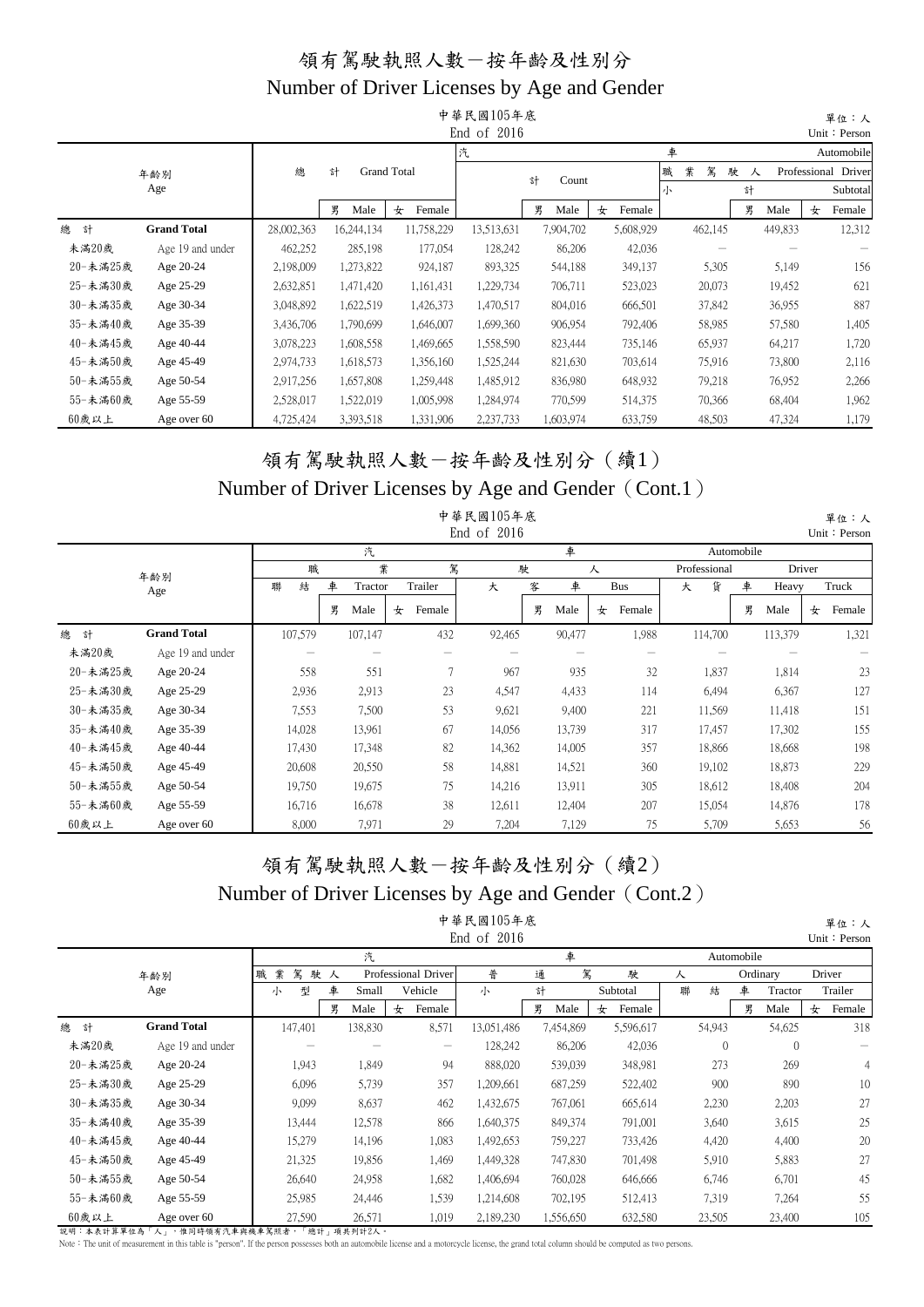|          |                    |            |            |                    | 中華民國105年底     |            |             |             |           | 單位:人                |
|----------|--------------------|------------|------------|--------------------|---------------|------------|-------------|-------------|-----------|---------------------|
|          |                    |            |            |                    | End of $2016$ |            |             |             |           | Unit: Person        |
|          |                    |            |            |                    | 汽             |            |             | 車           |           | Automobile          |
|          | 年齢別                | 總          | 計          | <b>Grand Total</b> |               | 計<br>Count |             | 業<br>駕<br>職 | 駛<br>人    | Professional Driver |
|          | Age                |            |            |                    |               |            |             | 小           | 計         | Subtotal            |
|          |                    |            | 男<br>Male  | 女<br>Female        |               | 男<br>Male  | 女<br>Female |             | 男<br>Male | 女<br>Female         |
| 總<br>計   | <b>Grand Total</b> | 28,002,363 | 16,244,134 | 11,758,229         | 13,513,631    | 7,904,702  | 5,608,929   | 462,145     | 449,833   | 12,312              |
| 未滿20歲    | Age 19 and under   | 462,252    | 285,198    | 177,054            | 128,242       | 86,206     | 42,036      |             |           |                     |
| 20-未滿25歲 | Age 20-24          | 2,198,009  | 1,273,822  | 924,187            | 893,325       | 544,188    | 349,137     | 5,305       | 5,149     | 156                 |
| 25-未滿30歲 | Age 25-29          | 2,632,851  | 1,471,420  | 1,161,431          | 1,229,734     | 706,711    | 523,023     | 20,073      | 19,452    | 621                 |
| 30-未満35歲 | Age 30-34          | 3,048,892  | 1,622,519  | 1,426,373          | 1,470,517     | 804,016    | 666,501     | 37,842      | 36,955    | 887                 |
| 35-未滿40歲 | Age 35-39          | 3,436,706  | 1,790,699  | 1,646,007          | 1,699,360     | 906,954    | 792,406     | 58,985      | 57,580    | 1,405               |
| 40-未滿45歲 | Age 40-44          | 3,078,223  | 1,608,558  | 1,469,665          | 1,558,590     | 823,444    | 735,146     | 65,937      | 64,217    | 1,720               |
| 45-未満50歲 | Age 45-49          | 2,974,733  | 1,618,573  | 1,356,160          | 1,525,244     | 821,630    | 703,614     | 75,916      | 73,800    | 2,116               |
| 50-未滿55歲 | Age 50-54          | 2,917,256  | 1,657,808  | 1,259,448          | 1,485,912     | 836,980    | 648,932     | 79,218      | 76,952    | 2,266               |
| 55-未滿60歲 | Age 55-59          | 2,528,017  | 1,522,019  | 1,005,998          | 1,284,974     | 770,599    | 514,375     | 70,366      | 68,404    | 1,962               |
| 60歲以上    | Age over 60        | 4,725,424  | 3,393,518  | 1,331,906          | 2,237,733     | 1,603,974  | 633,759     | 48,503      | 47,324    | 1,179               |

#### 領有駕駛執照人數-按年齡及性別分(續1) Number of Driver Licenses by Age and Gender (Cont.1)

|          |                    |         |   |         |             | 中華民國105年底<br>End of 2016 |        |   |        |             |              |       |            |         |        | 單位:人<br>Unit: Person |
|----------|--------------------|---------|---|---------|-------------|--------------------------|--------|---|--------|-------------|--------------|-------|------------|---------|--------|----------------------|
|          |                    |         |   | 汽       |             |                          |        |   | 車      |             |              |       | Automobile |         |        |                      |
|          | 年齢別                | 職       |   | 業       |             | 駕                        | 駛      |   |        | 人           | Professional |       |            |         | Driver |                      |
|          | Age                | 結<br>聯  | 車 | Tractor | Trailer     | 大                        |        | 客 | 車      | Bus         | 大            | 貨     | 車          | Heavy   |        | Truck                |
|          |                    |         | 男 | Male    | Female<br>女 |                          |        | 男 | Male   | Female<br>女 |              |       | 男          | Male    | 女      | Female               |
| 總<br>計   | <b>Grand Total</b> | 107,579 |   | 107,147 | 432         | 92,465                   |        |   | 90,477 | 1,988       | 114,700      |       |            | 113,379 |        | 1,321                |
| 未滿20歲    | Age 19 and under   |         |   |         |             |                          |        |   |        |             |              |       |            |         |        |                      |
| 20-未滿25歲 | Age 20-24          | 558     |   | 551     | 7           |                          | 967    |   | 935    | 32          |              | 1,837 |            | 1,814   |        | 23                   |
| 25-未滿30歲 | Age 25-29          | 2,936   |   | 2,913   | 23          |                          | 4,547  |   | 4,433  | 114         |              | 6,494 |            | 6,367   |        | 127                  |
| 30-未滿35歲 | Age 30-34          | 7,553   |   | 7,500   | 53          |                          | 9,621  |   | 9,400  | 221         | 11,569       |       |            | 11,418  |        | 151                  |
| 35-未滿40歲 | Age 35-39          | 14,028  |   | 13,961  | 67          |                          | 14,056 |   | 13,739 | 317         | 17,457       |       |            | 17,302  |        | 155                  |
| 40-未滿45歲 | Age 40-44          | 17,430  |   | 17,348  | 82          | 14,362                   |        |   | 14,005 | 357         | 18,866       |       |            | 18,668  |        | 198                  |
| 45-未滿50歲 | Age 45-49          | 20,608  |   | 20,550  | 58          | 14,881                   |        |   | 14,521 | 360         | 19,102       |       |            | 18,873  |        | 229                  |
| 50-未滿55歲 | Age 50-54          | 19,750  |   | 19,675  | 75          |                          | 14,216 |   | 13,911 | 305         | 18,612       |       |            | 18,408  |        | 204                  |
| 55-未滿60歲 | Age 55-59          | 16,716  |   | 16,678  | 38          | 12,611                   |        |   | 12,404 | 207         | 15,054       |       |            | 14,876  |        | 178                  |
| 60歲以上    | Age over 60        | 8,000   |   | 7,971   | 29          |                          | 7,204  |   | 7,129  | 75          |              | 5,709 |            | 5,653   |        | 56                   |

#### 領有駕駛執照人數-按年齡及性別分(續2) Number of Driver Licenses by Age and Gender (Cont.2) 中華民國105年底

|          |                    |             |        |         |                     |                   | 中華民國105年底<br>End of $2016$ |   |           |   |           |   |                |            |                |   | 單位:人<br>Unit: Person |
|----------|--------------------|-------------|--------|---------|---------------------|-------------------|----------------------------|---|-----------|---|-----------|---|----------------|------------|----------------|---|----------------------|
|          |                    |             |        | 汽       |                     |                   |                            |   | 車         |   |           |   |                | Automobile |                |   |                      |
|          | 年齢別                | 駕<br>業<br>職 | 駛人     |         | Professional Driver |                   | 普                          | 通 | 駕         |   | 駛         | 人 |                |            | Ordinary       |   | Driver               |
|          | Age                | 小           | 車<br>型 | Small   |                     | Vehicle           | 小                          | 計 |           |   | Subtotal  | 聯 | 結              | 車          | Tractor        |   | Trailer              |
|          |                    |             | 男      | Male    | 女                   | Female            |                            | 男 | Male      | 女 | Female    |   |                | 男          | Male           | 女 | Female               |
| 總<br>計   | <b>Grand Total</b> | 147,401     |        | 138,830 |                     | 8,571             | 13,051,486                 |   | 7,454,869 |   | 5,596,617 |   | 54,943         |            | 54,625         |   | 318                  |
| 未滿20歲    | Age 19 and under   |             |        |         |                     | $\hspace{0.05cm}$ | 128,242                    |   | 86,206    |   | 42,036    |   | $\overline{0}$ |            | $\overline{0}$ |   |                      |
| 20-未滿25歲 | Age 20-24          |             | 1,943  | 1,849   |                     | 94                | 888,020                    |   | 539,039   |   | 348,981   |   | 273            |            | 269            |   | 4                    |
| 25-未滿30歲 | Age 25-29          |             | 6,096  | 5,739   |                     | 357               | 1,209,661                  |   | 687,259   |   | 522,402   |   | 900            |            | 890            |   | 10                   |
| 30-未滿35歲 | Age 30-34          |             | 9,099  | 8,637   |                     | 462               | 1,432,675                  |   | 767,061   |   | 665,614   |   | 2,230          |            | 2,203          |   | 27                   |
| 35-未滿40歲 | Age 35-39          |             | 13,444 | 12,578  |                     | 866               | 1,640,375                  |   | 849,374   |   | 791,001   |   | 3,640          |            | 3,615          |   | 25                   |
| 40-未滿45歲 | Age 40-44          |             | 15,279 | 14,196  |                     | 1,083             | 1,492,653                  |   | 759,227   |   | 733,426   |   | 4,420          |            | 4,400          |   | 20                   |
| 45-未滿50歲 | Age 45-49          |             | 21,325 | 19,856  |                     | 1,469             | 1,449,328                  |   | 747,830   |   | 701,498   |   | 5,910          |            | 5,883          |   | 27                   |
| 50-未滿55歲 | Age 50-54          |             | 26,640 | 24,958  |                     | 1,682             | 1,406,694                  |   | 760,028   |   | 646,666   |   | 6,746          |            | 6,701          |   | 45                   |
| 55-未滿60歲 | Age 55-59          |             | 25,985 | 24,446  |                     | 1,539             | 1,214,608                  |   | 702,195   |   | 512,413   |   | 7,319          |            | 7,264          |   | 55                   |
| 60歲以上    | Age over 60        |             | 27,590 | 26,571  |                     | 1,019             | 2,189,230                  |   | 1,556,650 |   | 632,580   |   | 23,505         |            | 23,400         |   | 105                  |

說明:本表計算單位為「人」,惟同時領有汽車與機車駕照者,「總計」項共列計2人。

Note: The unit of measurement in this table is "person". If the person possesses both an automobile license and a motorcycle license, the grand total column should be computed as two persons.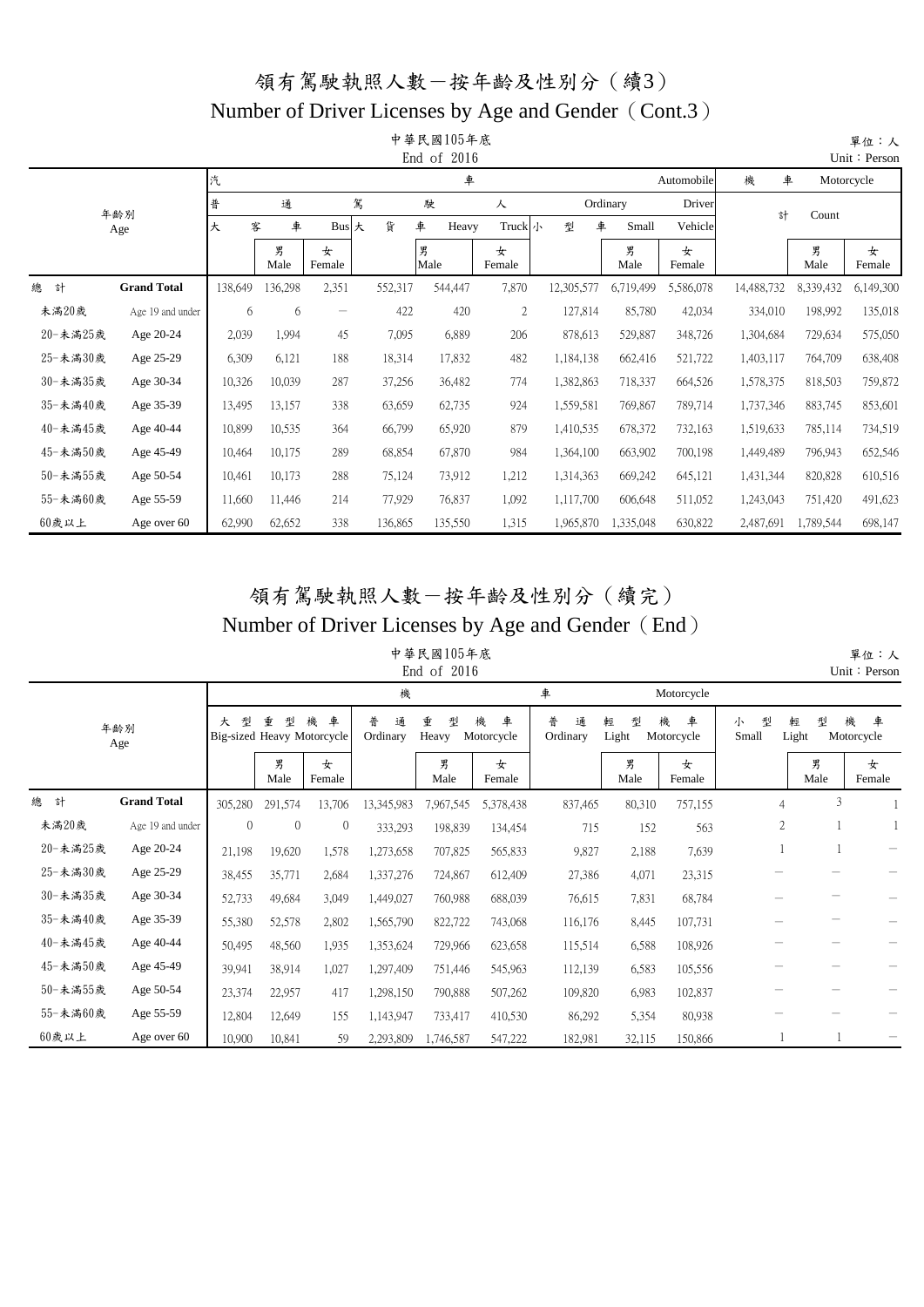#### Number of Driver Licenses by Age and Gender (Cont.3)

|          |                    |         |           |                   |         | 中華民國105年底<br>End of 2016 |                |            |           |             |            |           | 單位:人<br>Unit: Person |
|----------|--------------------|---------|-----------|-------------------|---------|--------------------------|----------------|------------|-----------|-------------|------------|-----------|----------------------|
|          |                    | 汽       |           |                   |         | 車                        |                |            |           | Automobile  | 機<br>車     |           | Motorcycle           |
|          | 年齢別                | 普       | 通         | 駕                 |         | 駛                        | 人              |            | Ordinary  | Driver      | 計          | Count     |                      |
|          | Age                | 大       | 車<br>客    | Bus 大             | 貨       | 車<br>Heavy               | Truck小         | 型<br>車     | Small     | Vehicle     |            |           |                      |
|          |                    |         | 男<br>Male | 女<br>Female       |         | 男<br>Male                | 女<br>Female    |            | 男<br>Male | 女<br>Female |            | 男<br>Male | 女<br>Female          |
| 總<br>計   | <b>Grand Total</b> | 138,649 | 136,298   | 2,351             | 552,317 | 544,447                  | 7,870          | 12,305,577 | 6,719,499 | 5,586,078   | 14,488,732 | 8,339,432 | 6,149,300            |
| 未滿20歲    | Age 19 and under   | 6       | 6         | $\qquad \qquad -$ | 422     | 420                      | $\overline{c}$ | 127,814    | 85,780    | 42,034      | 334,010    | 198,992   | 135,018              |
| 20-未滿25歲 | Age 20-24          | 2,039   | 1,994     | 45                | 7,095   | 6,889                    | 206            | 878,613    | 529,887   | 348,726     | 1,304,684  | 729,634   | 575,050              |
| 25-未滿30歲 | Age 25-29          | 6,309   | 6,121     | 188               | 18,314  | 17,832                   | 482            | 1,184,138  | 662,416   | 521,722     | 1,403,117  | 764,709   | 638,408              |
| 30-未滿35歲 | Age 30-34          | 10,326  | 10,039    | 287               | 37,256  | 36,482                   | 774            | 1,382,863  | 718,337   | 664,526     | 1,578,375  | 818,503   | 759,872              |
| 35-未滿40歲 | Age 35-39          | 13,495  | 13,157    | 338               | 63,659  | 62,735                   | 924            | 1,559,581  | 769,867   | 789,714     | 1,737,346  | 883,745   | 853,601              |
| 40-未滿45歲 | Age 40-44          | 10,899  | 10,535    | 364               | 66,799  | 65,920                   | 879            | 1,410,535  | 678,372   | 732,163     | 1,519,633  | 785,114   | 734,519              |
| 45-未滿50歲 | Age 45-49          | 10,464  | 10,175    | 289               | 68,854  | 67,870                   | 984            | 1,364,100  | 663,902   | 700,198     | 1,449,489  | 796,943   | 652,546              |
| 50-未滿55歲 | Age 50-54          | 10,461  | 10,173    | 288               | 75,124  | 73,912                   | 1,212          | 1,314,363  | 669,242   | 645,121     | 1,431,344  | 820,828   | 610,516              |
| 55-未滿60歲 | Age 55-59          | 11,660  | 11,446    | 214               | 77,929  | 76,837                   | 1,092          | 1,117,700  | 606,648   | 511,052     | 1,243,043  | 751,420   | 491,623              |
| 60歲以上    | Age over 60        | 62,990  | 62,652    | 338               | 136,865 | 135,550                  | 1,315          | 1,965,870  | 1,335,048 | 630,822     | 2,487,691  | 1,789,544 | 698,147              |

#### 領有駕駛執照人數-按年齡及性別分(續完) Number of Driver Licenses by Age and Gender (End)

中華民國105年底 End of 2016

|          |                    |                |                                      |                | 機                  |                 |                      | 車                  |                 | Motorcycle           |                 |                 |                      |
|----------|--------------------|----------------|--------------------------------------|----------------|--------------------|-----------------|----------------------|--------------------|-----------------|----------------------|-----------------|-----------------|----------------------|
|          | 年齢別<br>Age         | 型<br>大         | 重<br>型<br>Big-sized Heavy Motorcycle | 車<br>機         | 普<br>诵<br>Ordinary | 重<br>型<br>Heavy | 機<br>車<br>Motorcycle | 普<br>通<br>Ordinary | 型<br>輕<br>Light | 機<br>車<br>Motorcycle | 型<br>小<br>Small | 型<br>輕<br>Light | 機<br>車<br>Motorcycle |
|          |                    |                | 男<br>Male                            | 女<br>Female    |                    | 男<br>Male       | 女<br>Female          |                    | 男<br>Male       | 女<br>Female          |                 | 男<br>Male       | 女<br>Female          |
| 總<br>計   | <b>Grand Total</b> | 305,280        | 291,574                              | 13,706         | 13,345,983         | 7,967,545       | 5,378,438            | 837,465            | 80,310          | 757,155              | 4               | 3               |                      |
| 未滿20歲    | Age 19 and under   | $\overline{0}$ | $\theta$                             | $\overline{0}$ | 333,293            | 198,839         | 134,454              | 715                | 152             | 563                  | 2               |                 |                      |
| 20-未滿25歲 | Age 20-24          | 21,198         | 19,620                               | 1,578          | 1,273,658          | 707,825         | 565,833              | 9,827              | 2,188           | 7,639                |                 |                 |                      |
| 25-未滿30歲 | Age 25-29          | 38,455         | 35,771                               | 2,684          | 1,337,276          | 724,867         | 612,409              | 27,386             | 4,071           | 23,315               |                 |                 |                      |
| 30-未滿35歲 | Age 30-34          | 52,733         | 49,684                               | 3,049          | 1,449,027          | 760,988         | 688,039              | 76,615             | 7,831           | 68,784               |                 |                 |                      |
| 35-未滿40歲 | Age 35-39          | 55,380         | 52,578                               | 2,802          | 1,565,790          | 822,722         | 743,068              | 116,176            | 8,445           | 107,731              |                 |                 |                      |
| 40-未滿45歲 | Age 40-44          | 50,495         | 48,560                               | 1,935          | 1,353,624          | 729,966         | 623,658              | 115,514            | 6,588           | 108,926              |                 |                 |                      |
| 45-未滿50歲 | Age 45-49          | 39,941         | 38,914                               | 1,027          | 1,297,409          | 751,446         | 545,963              | 112,139            | 6,583           | 105,556              |                 |                 |                      |
| 50-未滿55歲 | Age 50-54          | 23,374         | 22,957                               | 417            | 1,298,150          | 790,888         | 507,262              | 109,820            | 6,983           | 102,837              |                 |                 |                      |
| 55-未滿60歲 | Age 55-59          | 12,804         | 12,649                               | 155            | 1,143,947          | 733,417         | 410,530              | 86,292             | 5,354           | 80,938               |                 |                 |                      |
| 60歲以上    | Age over 60        | 10,900         | 10,841                               | 59             | 2,293,809          | 1,746,587       | 547,222              | 182,981            | 32,115          | 150,866              |                 |                 |                      |

 單位:人 Unit: Person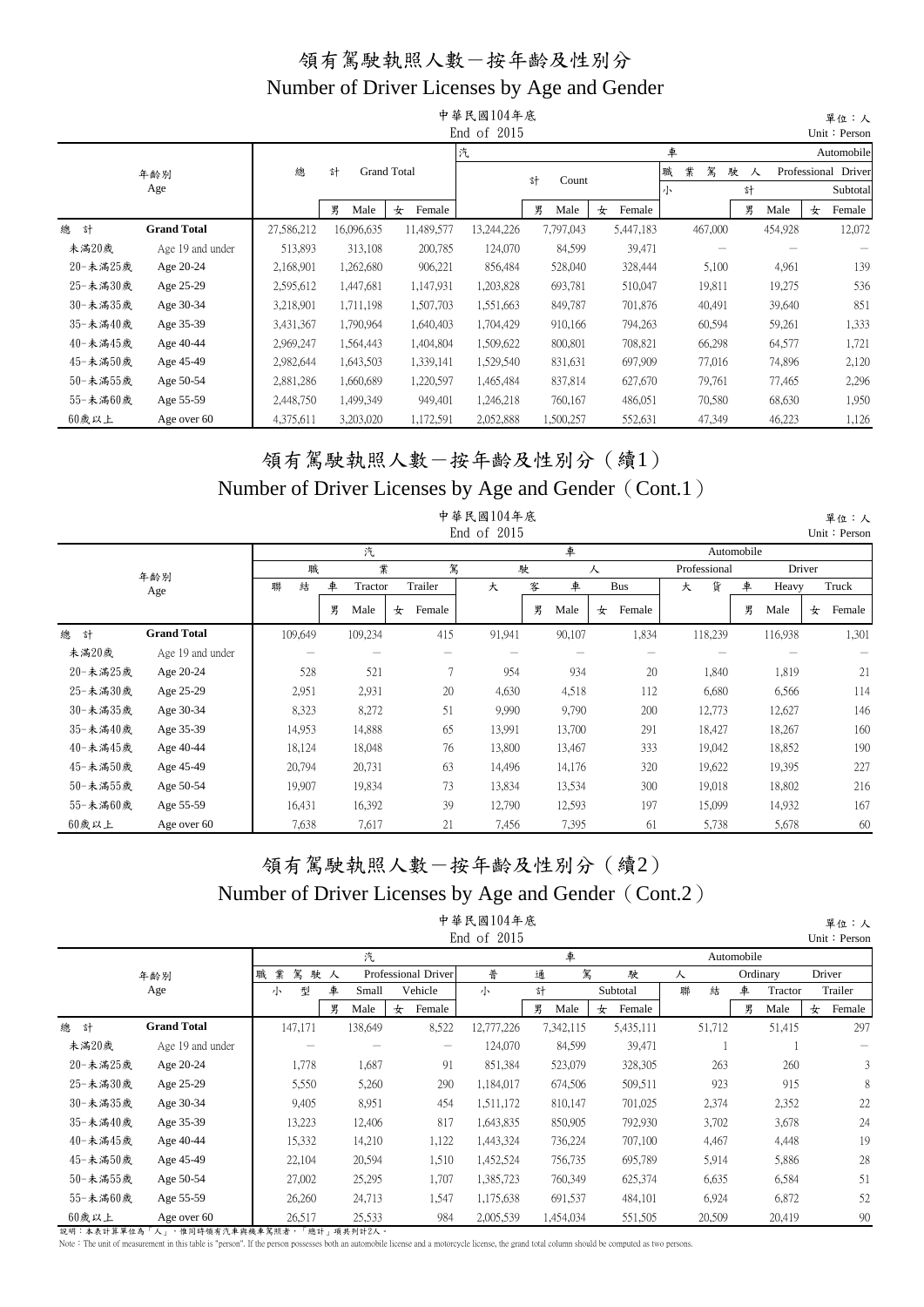|          |                    |            |            |                    | 中華民國104年底   |            |             |             |           | 單位:人                |
|----------|--------------------|------------|------------|--------------------|-------------|------------|-------------|-------------|-----------|---------------------|
|          |                    |            |            |                    | End of 2015 |            |             |             |           | Unit: Person        |
|          |                    |            |            |                    | 汽           |            |             | 車           |           | Automobile          |
|          | 年齢別                | 總          | 計          | <b>Grand Total</b> |             | 計<br>Count |             | 業<br>駕<br>職 | 駛<br>人    | Professional Driver |
|          | Age                |            |            |                    |             |            |             | 小           | 計         | Subtotal            |
|          |                    |            | 男<br>Male  | 女<br>Female        |             | 男<br>Male  | Female<br>女 |             | 男<br>Male | 女<br>Female         |
| 總<br>計   | <b>Grand Total</b> | 27,586,212 | 16,096,635 | 11,489,577         | 13,244,226  | 7,797,043  | 5,447,183   | 467,000     | 454,928   | 12,072              |
| 未滿20歲    | Age 19 and under   | 513,893    | 313,108    | 200,785            | 124,070     | 84,599     | 39,471      |             |           |                     |
| 20-未滿25歲 | Age 20-24          | 2,168,901  | 1,262,680  | 906,221            | 856,484     | 528,040    | 328,444     | 5,100       | 4,961     | 139                 |
| 25-未滿30歲 | Age 25-29          | 2,595,612  | 1,447,681  | 1,147,931          | 1,203,828   | 693,781    | 510,047     | 19,811      | 19,275    | 536                 |
| 30-未満35歲 | Age 30-34          | 3,218,901  | 1,711,198  | 1,507,703          | 1,551,663   | 849,787    | 701,876     | 40,491      | 39,640    | 851                 |
| 35-未滿40歲 | Age 35-39          | 3,431,367  | 1,790,964  | 1,640,403          | 1,704,429   | 910,166    | 794,263     | 60,594      | 59,261    | 1,333               |
| 40-未滿45歲 | Age 40-44          | 2,969,247  | 1,564,443  | 1,404,804          | 1,509,622   | 800,801    | 708,821     | 66,298      | 64,577    | 1,721               |
| 45-未滿50歲 | Age 45-49          | 2,982,644  | 1,643,503  | 1,339,141          | 1,529,540   | 831,631    | 697,909     | 77,016      | 74,896    | 2,120               |
| 50-未滿55歲 | Age 50-54          | 2,881,286  | 1,660,689  | 1,220,597          | 1,465,484   | 837,814    | 627,670     | 79,761      | 77,465    | 2,296               |
| 55-未滿60歲 | Age 55-59          | 2,448,750  | 1,499,349  | 949,401            | 1,246,218   | 760,167    | 486,051     | 70,580      | 68,630    | 1,950               |
| 60歲以上    | Age over 60        | 4,375,611  | 3,203,020  | 1,172,591          | 2,052,888   | 1,500,257  | 552,631     | 47,349      | 46,223    | 1,126               |

#### 領有駕駛執照人數-按年齡及性別分(續1) Number of Driver Licenses by Age and Gender (Cont.1)

|          |                    |         |   |         |   |                | 中華民國104年底<br>End of 2015 |   |        |   |            |   |              |            |         |        | 單位:人<br>Unit: Person |
|----------|--------------------|---------|---|---------|---|----------------|--------------------------|---|--------|---|------------|---|--------------|------------|---------|--------|----------------------|
|          |                    |         |   | 汽       |   |                |                          |   | 車      |   |            |   |              | Automobile |         |        |                      |
|          | 年齢別                | 職       |   | 業       |   | 駕              |                          | 駛 |        | 人 |            |   | Professional |            |         | Driver |                      |
|          | Age                | 結<br>聯  | 車 | Tractor |   | Trailer        | 大                        | 客 | 車      |   | <b>Bus</b> | 大 | 貨            | 車          | Heavy   |        | Truck                |
|          |                    |         | 男 | Male    | 女 | Female         |                          | 男 | Male   | 女 | Female     |   |              | 男          | Male    | 女      | Female               |
| 總<br>計   | <b>Grand Total</b> | 109,649 |   | 109,234 |   | 415            | 91,941                   |   | 90,107 |   | 1,834      |   | 118,239      |            | 116,938 |        | 1,301                |
| 未滿20歲    | Age 19 and under   |         |   |         |   |                |                          |   |        |   |            |   |              |            |         |        |                      |
| 20-未滿25歲 | Age 20-24          | 528     |   | 521     |   | $\overline{7}$ | 954                      |   | 934    |   | 20         |   | 1,840        |            | 1,819   |        | 21                   |
| 25-未滿30歲 | Age 25-29          | 2,951   |   | 2,931   |   | 20             | 4,630                    |   | 4,518  |   | 112        |   | 6,680        |            | 6,566   |        | 114                  |
| 30-未滿35歲 | Age 30-34          | 8,323   |   | 8,272   |   | 51             | 9,990                    |   | 9,790  |   | 200        |   | 12,773       |            | 12,627  |        | 146                  |
| 35-未滿40歲 | Age 35-39          | 14,953  |   | 14,888  |   | 65             | 13,991                   |   | 13,700 |   | 291        |   | 18,427       |            | 18,267  |        | 160                  |
| 40-未滿45歲 | Age 40-44          | 18,124  |   | 18,048  |   | 76             | 13,800                   |   | 13,467 |   | 333        |   | 19,042       |            | 18,852  |        | 190                  |
| 45-未滿50歲 | Age 45-49          | 20,794  |   | 20,731  |   | 63             | 14,496                   |   | 14,176 |   | 320        |   | 19,622       |            | 19,395  |        | 227                  |
| 50-未満55歲 | Age 50-54          | 19,907  |   | 19,834  |   | 73             | 13,834                   |   | 13,534 |   | 300        |   | 19,018       |            | 18,802  |        | 216                  |
| 55-未滿60歲 | Age 55-59          | 16,431  |   | 16,392  |   | 39             | 12,790                   |   | 12,593 |   | 197        |   | 15,099       |            | 14,932  |        | 167                  |
| 60歲以上    | Age over 60        | 7,638   |   | 7,617   |   | 21             | 7,456                    |   | 7,395  |   | 61         |   | 5,738        |            | 5,678   |        | 60                   |

#### 領有駕駛執照人數-按年齡及性別分(續2) Number of Driver Licenses by Age and Gender (Cont.2) 中華民國104年底

|          |                    |             |    |         |   |                                       | 中華民國104年底   |   |           |             |   |        |            |          |   | 單位:人         |
|----------|--------------------|-------------|----|---------|---|---------------------------------------|-------------|---|-----------|-------------|---|--------|------------|----------|---|--------------|
|          |                    |             |    |         |   |                                       | End of 2015 |   |           |             |   |        |            |          |   | Unit: Persor |
|          |                    |             |    | 汽       |   |                                       |             |   | 車         |             |   |        | Automobile |          |   |              |
|          | 年齢別                | 駕<br>業<br>職 | 駛人 |         |   | Professional Driver                   | 普           | 通 | 駕         | 駛           | 人 |        |            | Ordinary |   | Driver       |
|          | Age                | 型<br>小      | 車  | Small   |   | Vehicle                               | 小           | 計 |           | Subtotal    | 聯 | 結      | 車          | Tractor  |   | Trailer      |
|          |                    |             | 男  | Male    | 女 | Female                                |             | 男 | Male      | Female<br>女 |   |        | 男          | Male     | 女 | Female       |
| 總<br>計   | <b>Grand Total</b> | 147,171     |    | 138,649 |   | 8,522                                 | 12,777,226  |   | 7,342,115 | 5,435,111   |   | 51,712 |            | 51,415   |   | 297          |
| 未滿20歲    | Age 19 and under   |             |    |         |   | $\hspace{1.0cm} \rule{1.5cm}{0.15cm}$ | 124,070     |   | 84,599    | 39,471      |   |        |            |          |   |              |
| 20-未滿25歲 | Age 20-24          | 1,778       |    | 1,687   |   | 91                                    | 851,384     |   | 523,079   | 328,305     |   | 263    |            | 260      |   |              |
| 25-未満30歲 | Age 25-29          | 5,550       |    | 5,260   |   | 290                                   | 1,184,017   |   | 674,506   | 509,511     |   | 923    |            | 915      |   | 8            |
| 30-未満35歲 | Age 30-34          | 9,405       |    | 8,951   |   | 454                                   | 1,511,172   |   | 810,147   | 701,025     |   | 2,374  |            | 2,352    |   | 22           |
| 35-未滿40歲 | Age 35-39          | 13,223      |    | 12,406  |   | 817                                   | 1,643,835   |   | 850,905   | 792,930     |   | 3,702  |            | 3,678    |   | 24           |
| 40-未滿45歲 | Age 40-44          | 15,332      |    | 14,210  |   | 1,122                                 | 1,443,324   |   | 736,224   | 707,100     |   | 4,467  |            | 4,448    |   | 19           |
| 45-未滿50歲 | Age 45-49          | 22,104      |    | 20,594  |   | 1,510                                 | 1,452,524   |   | 756,735   | 695,789     |   | 5,914  |            | 5,886    |   | 28           |
| 50-未満55歲 | Age 50-54          | 27,002      |    | 25,295  |   | 1,707                                 | 1,385,723   |   | 760,349   | 625,374     |   | 6,635  |            | 6,584    |   | 51           |
| 55-未滿60歲 | Age 55-59          | 26,260      |    | 24,713  |   | 1,547                                 | 1,175,638   |   | 691,537   | 484,101     |   | 6,924  |            | 6,872    |   | 52           |
| 60歲以上    | Age over 60        | 26,517      |    | 25,533  |   | 984                                   | 2,005,539   |   | 1,454,034 | 551,505     |   | 20,509 |            | 20,419   |   | 90           |

說明:本表計算單位為「人」,惟同時領有汽車與機車駕照者,「總計」項共列計2人。

Note: The unit of measurement in this table is "person". If the person possesses both an automobile license and a motorcycle license, the grand total column should be computed as two persons.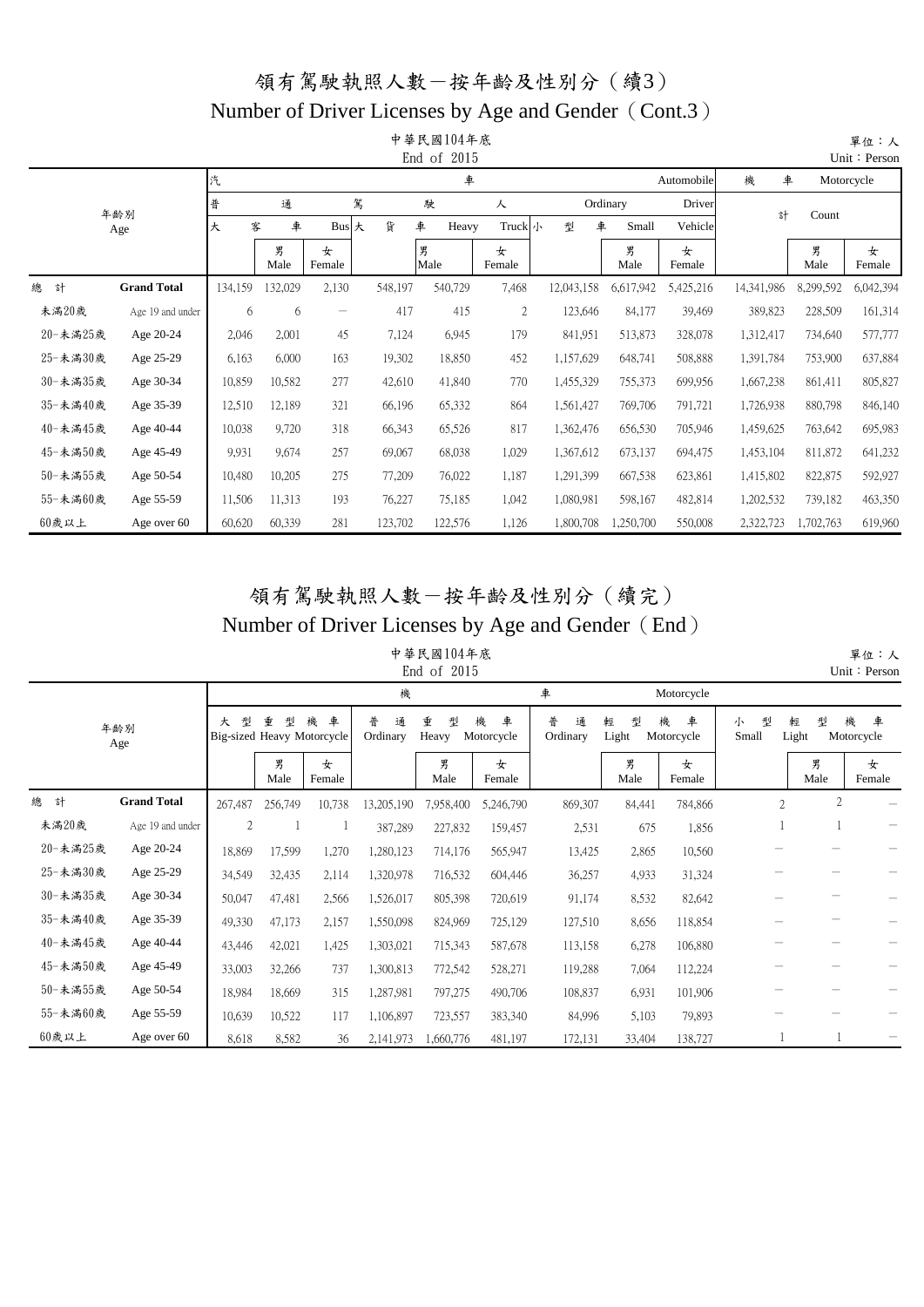#### Number of Driver Licenses by Age and Gender (Cont.3)

|          |                    |         |           |                   |         | 中華民國104年底<br>End of 2015 |              |            |            |             |            |           | 單位:人<br>Unit: Person |
|----------|--------------------|---------|-----------|-------------------|---------|--------------------------|--------------|------------|------------|-------------|------------|-----------|----------------------|
|          |                    | 汽       |           |                   |         | 車                        |              |            |            | Automobile  | 機<br>車     |           | Motorcycle           |
|          | 年齢別                | 普       | 通         | 駕                 |         | 駛                        | 人            |            | Ordinary   | Driver      | 計          | Count     |                      |
|          | Age                | 大       | 車<br>客    | Bus 大             | 貨       | 車<br>Heavy               | Truck 小      | 型          | 車<br>Small | Vehicle     |            |           |                      |
|          |                    |         | 男<br>Male | 女<br>Female       |         | 男<br>Male                | 女<br>Female  |            | 男<br>Male  | 女<br>Female |            | 男<br>Male | 女<br>Female          |
| 總<br>計   | <b>Grand Total</b> | 134,159 | 132,029   | 2,130             | 548,197 | 540,729                  | 7,468        | 12,043,158 | 6,617,942  | 5,425,216   | 14,341,986 | 8,299,592 | 6,042,394            |
| 未滿20歲    | Age 19 and under   | 6       | 6         | $\qquad \qquad -$ | 417     | 415                      | $\mathbf{2}$ | 123,646    | 84,177     | 39,469      | 389,823    | 228,509   | 161,314              |
| 20-未滿25歲 | Age 20-24          | 2,046   | 2,001     | 45                | 7,124   | 6,945                    | 179          | 841,951    | 513,873    | 328,078     | 1,312,417  | 734,640   | 577,777              |
| 25-未滿30歲 | Age 25-29          | 6,163   | 6,000     | 163               | 19,302  | 18,850                   | 452          | 1,157,629  | 648,741    | 508,888     | 1,391,784  | 753,900   | 637,884              |
| 30-未滿35歲 | Age 30-34          | 10,859  | 10,582    | 277               | 42,610  | 41,840                   | 770          | 1,455,329  | 755,373    | 699,956     | 1,667,238  | 861,411   | 805,827              |
| 35-未滿40歲 | Age 35-39          | 12,510  | 12,189    | 321               | 66,196  | 65,332                   | 864          | 1,561,427  | 769,706    | 791,721     | 1,726,938  | 880,798   | 846,140              |
| 40-未滿45歲 | Age 40-44          | 10,038  | 9,720     | 318               | 66,343  | 65,526                   | 817          | 1,362,476  | 656,530    | 705,946     | 1,459,625  | 763,642   | 695,983              |
| 45-未滿50歲 | Age 45-49          | 9,931   | 9,674     | 257               | 69,067  | 68,038                   | 1,029        | 1,367,612  | 673,137    | 694,475     | 1,453,104  | 811,872   | 641,232              |
| 50-未滿55歲 | Age 50-54          | 10,480  | 10,205    | 275               | 77,209  | 76,022                   | 1,187        | 1,291,399  | 667,538    | 623,861     | 1,415,802  | 822,875   | 592,927              |
| 55-未滿60歲 | Age 55-59          | 11,506  | 11,313    | 193               | 76,227  | 75,185                   | 1,042        | 1,080,981  | 598,167    | 482,814     | 1,202,532  | 739,182   | 463,350              |
| 60歲以上    | Age over 60        | 60,620  | 60,339    | 281               | 123,702 | 122,576                  | 1,126        | 1,800,708  | 1,250,700  | 550,008     | 2,322,723  | 1,702,763 | 619,960              |

#### 領有駕駛執照人數-按年齡及性別分(續完) Number of Driver Licenses by Age and Gender (End)

#### 中華民國104年底  $End of 2015$

|          |                    |                |                                      |             |                    | ETIU OI TOTO    |                      |                    |                 |                      |                 |                 | $OIII \cdot 1$ Crosoft |
|----------|--------------------|----------------|--------------------------------------|-------------|--------------------|-----------------|----------------------|--------------------|-----------------|----------------------|-----------------|-----------------|------------------------|
|          |                    |                |                                      |             | 機                  |                 |                      | 車                  |                 | Motorcycle           |                 |                 |                        |
|          | 年齢別<br>Age         | 型<br>大         | 重<br>型<br>Big-sized Heavy Motorcycle | 機<br>車      | 普<br>通<br>Ordinary | 重<br>型<br>Heavy | 機<br>車<br>Motorcycle | 普<br>通<br>Ordinary | 型<br>輕<br>Light | 機<br>車<br>Motorcycle | 型<br>小<br>Small | 型<br>輕<br>Light | 機<br>車<br>Motorcycle   |
|          |                    |                | 男<br>Male                            | 女<br>Female |                    | 男<br>Male       | 女<br>Female          |                    | 男<br>Male       | 女<br>Female          |                 | 男<br>Male       | 女<br>Female            |
| 總<br>計   | <b>Grand Total</b> | 267,487        | 256,749                              | 10,738      | 13,205,190         | 7,958,400       | 5,246,790            | 869,307            | 84,441          | 784,866              | $\overline{c}$  | $\overline{c}$  |                        |
| 未滿20歲    | Age 19 and under   | $\mathfrak{2}$ |                                      |             | 387,289            | 227,832         | 159,457              | 2,531              | 675             | 1,856                |                 |                 |                        |
| 20-未滿25歲 | Age 20-24          | 18,869         | 17,599                               | 1,270       | 1,280,123          | 714,176         | 565,947              | 13,425             | 2,865           | 10,560               |                 |                 |                        |
| 25-未滿30歲 | Age 25-29          | 34,549         | 32,435                               | 2,114       | 1,320,978          | 716,532         | 604,446              | 36,257             | 4,933           | 31,324               |                 |                 |                        |
| 30-未滿35歲 | Age 30-34          | 50,047         | 47,481                               | 2,566       | 1,526,017          | 805,398         | 720,619              | 91,174             | 8,532           | 82,642               |                 |                 |                        |
| 35-未滿40歲 | Age 35-39          | 49,330         | 47,173                               | 2,157       | 1,550,098          | 824,969         | 725,129              | 127,510            | 8,656           | 118,854              |                 |                 |                        |
| 40-未滿45歲 | Age 40-44          | 43,446         | 42,021                               | 1,425       | 1,303,021          | 715,343         | 587,678              | 113,158            | 6,278           | 106,880              |                 |                 |                        |
| 45-未滿50歲 | Age 45-49          | 33,003         | 32,266                               | 737         | 1,300,813          | 772,542         | 528,271              | 119,288            | 7,064           | 112,224              |                 |                 |                        |
| 50-未滿55歲 | Age 50-54          | 18,984         | 18,669                               | 315         | 1,287,981          | 797,275         | 490,706              | 108,837            | 6,931           | 101,906              |                 |                 |                        |
| 55-未滿60歲 | Age 55-59          | 10,639         | 10,522                               | 117         | 1,106,897          | 723,557         | 383,340              | 84,996             | 5,103           | 79,893               |                 |                 |                        |
| 60歲以上    | Age over 60        | 8,618          | 8,582                                | 36          | 2,141,973          | 1,660,776       | 481,197              | 172,131            | 33,404          | 138,727              |                 |                 |                        |

 單位:人 Unit: Person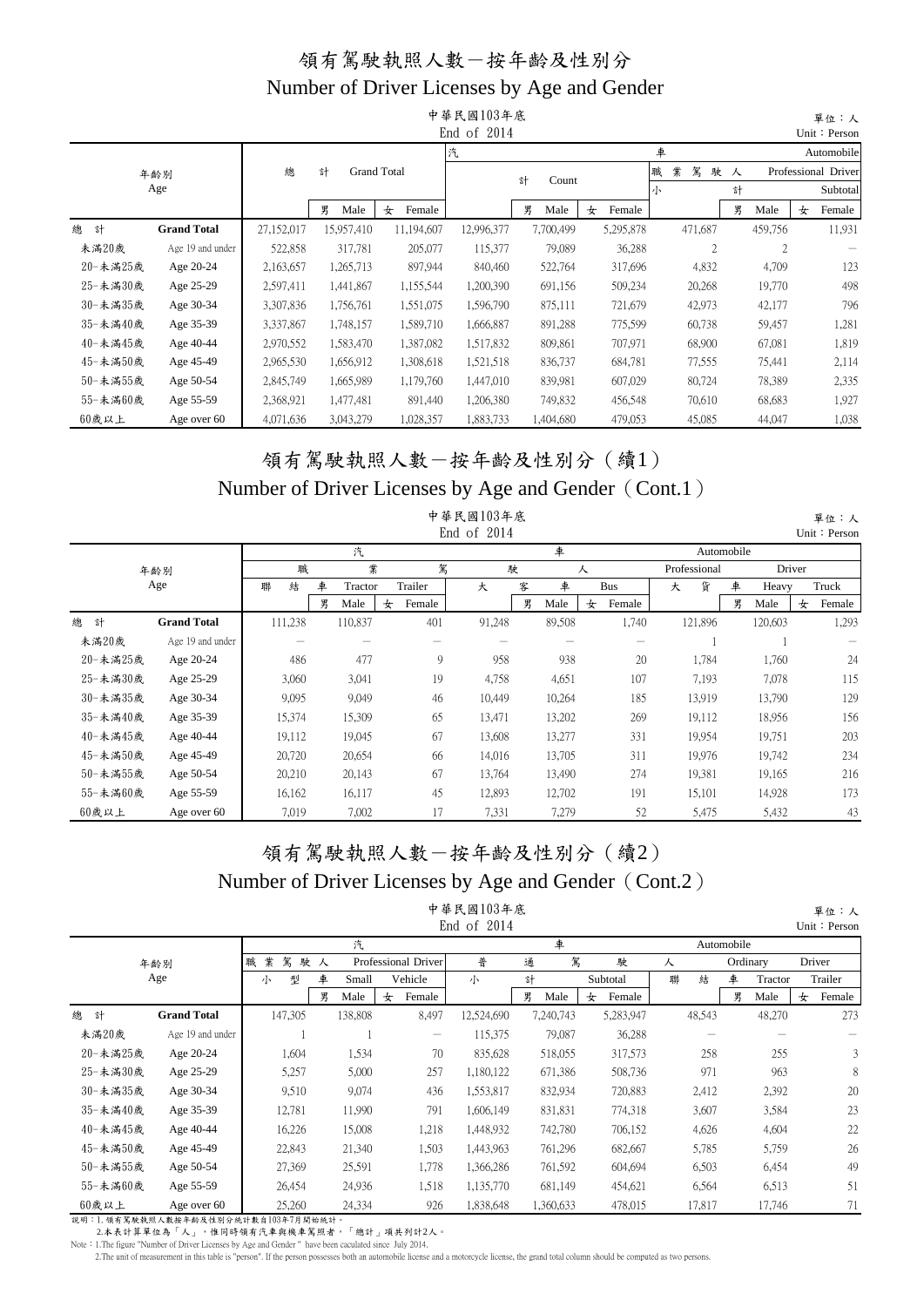|          |                    |            |            |                    | 中華民國103年底     |            |             |                  |           | 單位:人                |
|----------|--------------------|------------|------------|--------------------|---------------|------------|-------------|------------------|-----------|---------------------|
|          |                    |            |            |                    | End of $2014$ |            |             |                  |           | Unit: Person        |
|          |                    |            |            |                    | 汽             |            |             | 車                |           | Automobile          |
|          | 年齢別                | 總          | 計          | <b>Grand Total</b> |               | 計<br>Count |             | 業<br>職<br>駕<br>駛 | 人         | Professional Driver |
|          | Age                |            |            |                    |               |            |             | 小                | 計         | Subtotal            |
|          |                    |            | 男<br>Male  | Female<br>女        |               | 男<br>Male  | Female<br>女 |                  | 男<br>Male | Female<br>女         |
| 總<br>計   | <b>Grand Total</b> | 27,152,017 | 15,957,410 | 11,194,607         | 12,996,377    | 7,700,499  | 5,295,878   | 471,687          | 459,756   | 11,931              |
| 未滿20歲    | Age 19 and under   | 522,858    | 317,781    | 205,077            | 115,377       | 79,089     | 36,288      | 2                | 2         |                     |
| 20-未滿25歲 | Age 20-24          | 2,163,657  | 1,265,713  | 897,944            | 840,460       | 522,764    | 317,696     | 4,832            | 4,709     | 123                 |
| 25-未滿30歲 | Age 25-29          | 2,597,411  | 1,441,867  | 1,155,544          | 1,200,390     | 691,156    | 509,234     | 20,268           | 19,770    | 498                 |
| 30-未滿35歲 | Age 30-34          | 3,307,836  | 1,756,761  | 1,551,075          | 1,596,790     | 875,111    | 721,679     | 42,973           | 42,177    | 796                 |
| 35-未滿40歲 | Age 35-39          | 3,337,867  | 1,748,157  | 1,589,710          | 1,666,887     | 891,288    | 775,599     | 60,738           | 59,457    | 1,281               |
| 40-未滿45歲 | Age 40-44          | 2,970,552  | 1,583,470  | 1,387,082          | 1,517,832     | 809,861    | 707,971     | 68,900           | 67,081    | 1,819               |
| 45-未滿50歲 | Age 45-49          | 2,965,530  | 1,656,912  | 1,308,618          | 1,521,518     | 836,737    | 684,781     | 77,555           | 75,441    | 2,114               |
| 50-未滿55歲 | Age 50-54          | 2,845,749  | 1,665,989  | 1,179,760          | 1,447,010     | 839,981    | 607,029     | 80,724           | 78,389    | 2,335               |
| 55-未滿60歲 | Age 55-59          | 2,368,921  | 1,477,481  | 891,440            | 1,206,380     | 749,832    | 456,548     | 70,610           | 68,683    | 1,927               |
| $60$ 歲以上 | Age over 60        | 4,071,636  | 3,043,279  | 1,028,357          | 1,883,733     | 1,404,680  | 479,053     | 45,085           | 44,047    | 1,038               |

#### Number of Driver Licenses by Age and Gender (Cont.1) 領有駕駛執照人數-按年齡及性別分(續1)

|            |                    |         |   |         |   |         | 中華民國103年底<br>End of 2014 |   |                   |   |                   |   |              |   |         |                | 單位:人<br>Unit: Person |
|------------|--------------------|---------|---|---------|---|---------|--------------------------|---|-------------------|---|-------------------|---|--------------|---|---------|----------------|----------------------|
|            |                    |         |   | 汽       |   |         |                          |   | 車                 |   |                   |   | Automobile   |   |         |                |                      |
| 年齢別<br>Age |                    | 職       |   | 業       |   | 駕       |                          | 駛 | 人                 |   |                   |   | Professional |   |         | Driver         |                      |
|            |                    | 結<br>聯  | 車 | Tractor |   | Trailer | 大                        | 客 | 車                 |   | <b>Bus</b>        | 大 | 貨            | 車 |         | Truck<br>Heavy |                      |
|            |                    |         | 男 | Male    | 女 | Female  |                          | 男 | Male              | 女 | Female            |   |              | 男 | Male    | 女              | Female               |
| 總<br>計     | <b>Grand Total</b> | 111,238 |   | 110,837 |   | 401     | 91,248                   |   | 89,508            |   | 1,740             |   | 121,896      |   | 120,603 |                | 1,293                |
| 未滿20歲      | Age 19 and under   |         |   |         |   |         |                          |   | $\hspace{0.05cm}$ |   | $\hspace{0.05cm}$ |   |              |   |         |                |                      |
| 20-未満25歲   | Age 20-24          | 486     |   | 477     |   | 9       | 958                      |   | 938               |   | 20                |   | 1,784        |   | 1,760   |                | 24                   |
| 25-未滿30歲   | Age 25-29          | 3,060   |   | 3,041   |   | 19      | 4,758                    |   | 4,651             |   | 107               |   | 7,193        |   | 7,078   |                | 115                  |
| 30-未満35歲   | Age 30-34          | 9,095   |   | 9,049   |   | 46      | 10,449                   |   | 10,264            |   | 185               |   | 13,919       |   | 13,790  |                | 129                  |
| 35-未滿40歲   | Age 35-39          | 15,374  |   | 15,309  |   | 65      | 13,471                   |   | 13,202            |   | 269               |   | 19,112       |   | 18,956  |                | 156                  |
| 40-未滿45歲   | Age 40-44          | 19,112  |   | 19,045  |   | 67      | 13,608                   |   | 13,277            |   | 331               |   | 19,954       |   | 19,751  |                | 203                  |
| 45-未滿50歲   | Age 45-49          | 20,720  |   | 20,654  |   | 66      | 14,016                   |   | 13,705            |   | 311               |   | 19,976       |   | 19,742  |                | 234                  |
| 50-未滿55歲   | Age 50-54          | 20,210  |   | 20,143  |   | 67      | 13,764                   |   | 13,490            |   | 274               |   | 19,381       |   | 19,165  |                | 216                  |
| 55-未満60歲   | Age 55-59          | 16,162  |   | 16,117  |   | 45      | 12,893                   |   | 12,702            |   | 191               |   | 15,101       |   | 14,928  |                | 173                  |
| 60歲以上      | Age over 60        | 7,019   |   | 7,002   |   | 17      | 7,331                    |   | 7,279             |   | 52                |   | 5,475        |   | 5,432   |                | 43                   |

## Number of Driver Licenses by Age and Gender (Cont.2) 領有駕駛執照人數-按年齡及性別分(續2)

|            |                                                                                                       |             |                      |         |                     | 中華民國103年底<br>End of $2014$ |           |   |           |   |        |          |         |        | 單位:人<br>Unit: Person |
|------------|-------------------------------------------------------------------------------------------------------|-------------|----------------------|---------|---------------------|----------------------------|-----------|---|-----------|---|--------|----------|---------|--------|----------------------|
|            |                                                                                                       |             | 汽<br>車<br>Automobile |         |                     |                            |           |   |           |   |        |          |         |        |                      |
| 年齢別<br>Age |                                                                                                       | 駕<br>業<br>職 | 駛人                   |         | Professional Driver | 普                          | 通         | 駕 | 駛         | 人 |        | Ordinary |         | Driver |                      |
|            |                                                                                                       | 型<br>小      | 車                    | Small   | Vehicle             | 小                          | 計         |   | Subtotal  | 聯 | 結      | 車        | Tractor |        | Trailer              |
|            |                                                                                                       |             | 男                    | Male    | Female<br>女         |                            | 男<br>Male | 女 | Female    |   |        | 男        | Male    | 女      | Female               |
| 總<br>計     | <b>Grand Total</b>                                                                                    | 147,305     |                      | 138,808 | 8,497               | 12,524,690                 | 7,240,743 |   | 5,283,947 |   | 48,543 |          | 48,270  |        | 273                  |
| 未滿20歲      | Age 19 and under                                                                                      |             |                      |         | $\hspace{0.05cm}$   | 115,375                    | 79,087    |   | 36,288    |   |        |          |         |        |                      |
| 20-未滿25歲   | Age 20-24                                                                                             | 1,604       |                      | 1,534   | 70                  | 835,628                    | 518,055   |   | 317,573   |   | 258    |          | 255     |        | 3                    |
| 25-未滿30歲   | Age 25-29                                                                                             | 5,257       |                      | 5,000   | 257                 | 1,180,122                  | 671,386   |   | 508,736   |   | 971    |          | 963     |        | 8                    |
| 30-未満35歲   | Age 30-34                                                                                             | 9,510       |                      | 9,074   | 436                 | 1,553,817                  | 832,934   |   | 720,883   |   | 2,412  |          | 2,392   |        | 20                   |
| 35-未滿40歲   | Age 35-39                                                                                             | 12,781      |                      | 11,990  | 791                 | 1,606,149                  | 831,831   |   | 774,318   |   | 3,607  |          | 3,584   |        | 23                   |
| 40-未滿45歲   | Age 40-44                                                                                             | 16,226      |                      | 15,008  | 1,218               | 1,448,932                  | 742,780   |   | 706,152   |   | 4,626  |          | 4,604   |        | 22                   |
| 45-未滿50歲   | Age 45-49                                                                                             | 22,843      |                      | 21,340  | 1,503               | 1,443,963                  | 761,296   |   | 682,667   |   | 5,785  |          | 5,759   |        | 26                   |
| 50-未滿55歲   | Age 50-54                                                                                             | 27,369      |                      | 25,591  | 1,778               | 1,366,286                  | 761,592   |   | 604,694   |   | 6,503  |          | 6,454   |        | 49                   |
| 55-未滿60歲   | Age 55-59                                                                                             | 26,454      |                      | 24,936  | 1,518               | 1,135,770                  | 681,149   |   | 454,621   |   | 6,564  |          | 6,513   |        | 51                   |
| 60歲以上      | Age over 60<br>20:00 · 1 · 52:20:30:41:00 › # 4 1 2 4 7 1 4 0 1 A 4 2 1 # 4 1 0 0 7 1 9 8 1 1 1 4 2 1 | 25,260      |                      | 24,334  | 926                 | 1,838,648                  | 1,360,633 |   | 478,015   |   | 17,817 |          | 17,746  |        | 71                   |

說明:1.領有駕駛執照人數按年齡及性別分統計數自103年7月開始統計。<br>2.本表計算單位為「人」,惟同時領有汽車與機車駕照者,「總計」項共列計2人。

Note:1.The figure "Number of Driver Licenses by Age and Gender " have been caculated since July 2014.

2. The unit of measurement in this table is "person". If the person possesses both an automobile license and a motorcycle license, the grand total column should be computed as two persons.